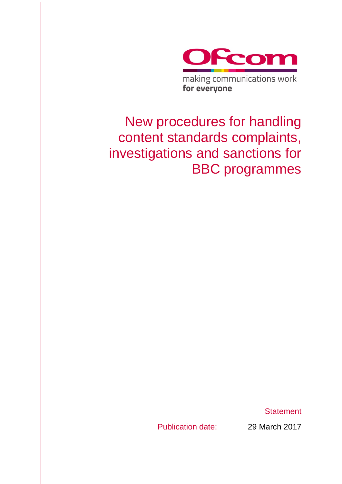

# New procedures for handling content standards complaints, investigations and sanctions for BBC programmes

**Statement** 

Publication date: 29 March 2017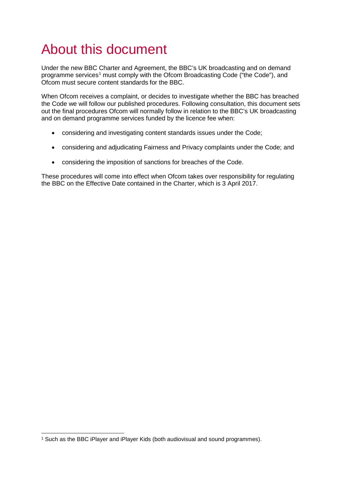# About this document

Under the new BBC Charter and Agreement, the BBC's UK broadcasting and on demand programme services<sup>[1](#page-1-0)</sup> must comply with the Ofcom Broadcasting Code ("the Code"), and Ofcom must secure content standards for the BBC.

When Ofcom receives a complaint, or decides to investigate whether the BBC has breached the Code we will follow our published procedures. Following consultation, this document sets out the final procedures Ofcom will normally follow in relation to the BBC's UK broadcasting and on demand programme services funded by the licence fee when:

- considering and investigating content standards issues under the Code;
- considering and adjudicating Fairness and Privacy complaints under the Code; and
- considering the imposition of sanctions for breaches of the Code.

These procedures will come into effect when Ofcom takes over responsibility for regulating the BBC on the Effective Date contained in the Charter, which is 3 April 2017.

<span id="page-1-0"></span> <sup>1</sup> Such as the BBC iPlayer and iPlayer Kids (both audiovisual and sound programmes).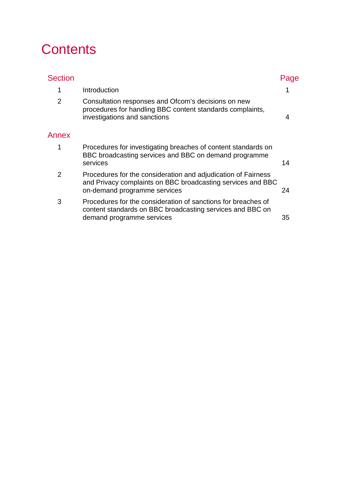# **Contents**

| <b>Section</b> |                                                                                                                                                              |    |
|----------------|--------------------------------------------------------------------------------------------------------------------------------------------------------------|----|
| 1              | Introduction                                                                                                                                                 |    |
| 2              | Consultation responses and Ofcom's decisions on new<br>procedures for handling BBC content standards complaints,<br>investigations and sanctions             | 4  |
| Annex          |                                                                                                                                                              |    |
| 1              | Procedures for investigating breaches of content standards on<br>BBC broadcasting services and BBC on demand programme<br>services                           | 14 |
| $\mathcal{P}$  | Procedures for the consideration and adjudication of Fairness<br>and Privacy complaints on BBC broadcasting services and BBC<br>on-demand programme services | 24 |
| 3              | Procedures for the consideration of sanctions for breaches of<br>content standards on BBC broadcasting services and BBC on<br>demand programme services      | 35 |
|                |                                                                                                                                                              |    |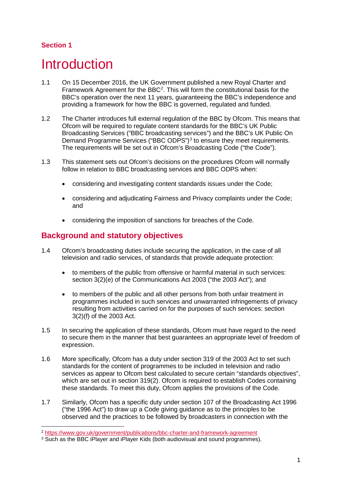# **Section 1**

# <span id="page-3-0"></span>**Introduction**

- 1.1 On 15 December 2016, the UK Government published a new Royal Charter and Framework Agreement for the BBC<sup>[2](#page-3-1)</sup>. This will form the constitutional basis for the BBC's operation over the next 11 years, guaranteeing the BBC's independence and providing a framework for how the BBC is governed, regulated and funded.
- 1.2 The Charter introduces full external regulation of the BBC by Ofcom. This means that Ofcom will be required to regulate content standards for the BBC's UK Public Broadcasting Services ("BBC broadcasting services") and the BBC's UK Public On Demand Programme Services ("BBC ODPS")<sup>[3](#page-3-2)</sup> to ensure they meet requirements. The requirements will be set out in Ofcom's Broadcasting Code ("the Code").
- 1.3 This statement sets out Ofcom's decisions on the procedures Ofcom will normally follow in relation to BBC broadcasting services and BBC ODPS when:
	- considering and investigating content standards issues under the Code;
	- considering and adjudicating Fairness and Privacy complaints under the Code; and
	- considering the imposition of sanctions for breaches of the Code.

# **Background and statutory objectives**

- 1.4 Ofcom's broadcasting duties include securing the application, in the case of all television and radio services, of standards that provide adequate protection:
	- to members of the public from offensive or harmful material in such services: section 3(2)(e) of the Communications Act 2003 ("the 2003 Act"); and
	- to members of the public and all other persons from both unfair treatment in programmes included in such services and unwarranted infringements of privacy resulting from activities carried on for the purposes of such services: section 3(2)(f) of the 2003 Act.
- 1.5 In securing the application of these standards, Ofcom must have regard to the need to secure them in the manner that best guarantees an appropriate level of freedom of expression.
- 1.6 More specifically, Ofcom has a duty under section 319 of the 2003 Act to set such standards for the content of programmes to be included in television and radio services as appear to Ofcom best calculated to secure certain "standards objectives", which are set out in section 319(2). Ofcom is required to establish Codes containing these standards. To meet this duty, Ofcom applies the provisions of the Code.
- 1.7 Similarly, Ofcom has a specific duty under section 107 of the Broadcasting Act 1996 ("the 1996 Act") to draw up a Code giving guidance as to the principles to be observed and the practices to be followed by broadcasters in connection with the

<span id="page-3-1"></span> <sup>2</sup> <https://www.gov.uk/government/publications/bbc-charter-and-framework-agreement>

<span id="page-3-2"></span><sup>&</sup>lt;sup>3</sup> Such as the BBC iPlayer and iPlayer Kids (both audiovisual and sound programmes).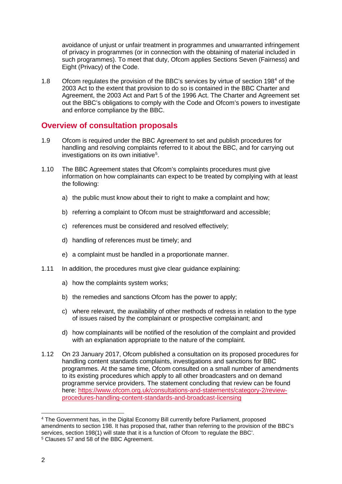avoidance of unjust or unfair treatment in programmes and unwarranted infringement of privacy in programmes (or in connection with the obtaining of material included in such programmes). To meet that duty, Ofcom applies Sections Seven (Fairness) and Eight (Privacy) of the Code.

1.8 Ofcom regulates the provision of the BBC's services by virtue of section 198<sup>[4](#page-4-0)</sup> of the 2003 Act to the extent that provision to do so is contained in the BBC Charter and Agreement, the 2003 Act and Part 5 of the 1996 Act. The Charter and Agreement set out the BBC's obligations to comply with the Code and Ofcom's powers to investigate and enforce compliance by the BBC.

## **Overview of consultation proposals**

- 1.9 Ofcom is required under the BBC Agreement to set and publish procedures for handling and resolving complaints referred to it about the BBC, and for carrying out investigations on its own initiative<sup>[5](#page-4-1)</sup>.
- 1.10 The BBC Agreement states that Ofcom's complaints procedures must give information on how complainants can expect to be treated by complying with at least the following:
	- a) the public must know about their to right to make a complaint and how;
	- b) referring a complaint to Ofcom must be straightforward and accessible;
	- c) references must be considered and resolved effectively;
	- d) handling of references must be timely; and
	- e) a complaint must be handled in a proportionate manner.
- 1.11 In addition, the procedures must give clear guidance explaining:
	- a) how the complaints system works;
	- b) the remedies and sanctions Ofcom has the power to apply:
	- c) where relevant, the availability of other methods of redress in relation to the type of issues raised by the complainant or prospective complainant; and
	- d) how complainants will be notified of the resolution of the complaint and provided with an explanation appropriate to the nature of the complaint.
- 1.12 On 23 January 2017, Ofcom published a consultation on its proposed procedures for handling content standards complaints, investigations and sanctions for BBC programmes. At the same time, Ofcom consulted on a small number of amendments to its existing procedures which apply to all other broadcasters and on demand programme service providers. The statement concluding that review can be found here: [https://www.ofcom.org.uk/consultations-and-statements/category-2/review](https://www.ofcom.org.uk/consultations-and-statements/category-2/review-procedures-handling-content-standards-and-broadcast-licensing)[procedures-handling-content-standards-and-broadcast-licensing](https://www.ofcom.org.uk/consultations-and-statements/category-2/review-procedures-handling-content-standards-and-broadcast-licensing)

<span id="page-4-1"></span><span id="page-4-0"></span> <sup>4</sup> The Government has, in the Digital Economy Bill currently before Parliament, proposed amendments to section 198. It has proposed that, rather than referring to the provision of the BBC's services, section 198(1) will state that it is a function of Ofcom 'to regulate the BBC'. <sup>5</sup> Clauses 57 and 58 of the BBC Agreement.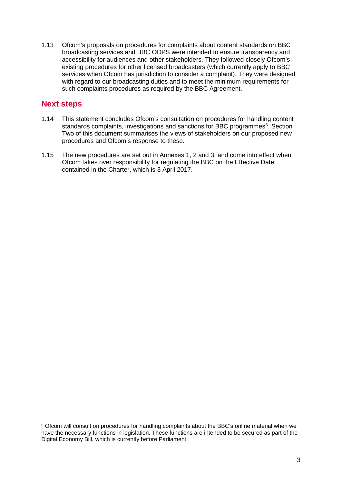1.13 Ofcom's proposals on procedures for complaints about content standards on BBC broadcasting services and BBC ODPS were intended to ensure transparency and accessibility for audiences and other stakeholders. They followed closely Ofcom's existing procedures for other licensed broadcasters (which currently apply to BBC services when Ofcom has jurisdiction to consider a complaint). They were designed with regard to our broadcasting duties and to meet the minimum requirements for such complaints procedures as required by the BBC Agreement.

# **Next steps**

- 1.14 This statement concludes Ofcom's consultation on procedures for handling content standards complaints, investigations and sanctions for BBC programmes<sup>[6](#page-5-0)</sup>. Section Two of this document summarises the views of stakeholders on our proposed new procedures and Ofcom's response to these.
- 1.15 The new procedures are set out in Annexes 1, 2 and 3, and come into effect when Ofcom takes over responsibility for regulating the BBC on the Effective Date contained in the Charter, which is 3 April 2017.

<span id="page-5-0"></span> <sup>6</sup> Ofcom will consult on procedures for handling complaints about the BBC's online material when we have the necessary functions in legislation. These functions are intended to be secured as part of the Digital Economy Bill, which is currently before Parliament.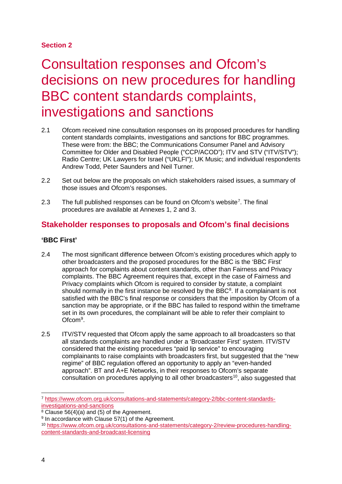## **Section 2**

# <span id="page-6-0"></span>2 Consultation responses and Ofcom's decisions on new procedures for handling BBC content standards complaints, investigations and sanctions

- 2.1 Ofcom received nine consultation responses on its proposed procedures for handling content standards complaints, investigations and sanctions for BBC programmes. These were from: the BBC; the Communications Consumer Panel and Advisory Committee for Older and Disabled People ("CCP/ACOD"); ITV and STV ("ITV/STV"); Radio Centre; UK Lawyers for Israel ("UKLFI"); UK Music; and individual respondents Andrew Todd, Peter Saunders and Neil Turner.
- 2.2 Set out below are the proposals on which stakeholders raised issues, a summary of those issues and Ofcom's responses.
- 2.3 The full published responses can be found on Ofcom's website<sup>[7](#page-6-1)</sup>. The final procedures are available at Annexes 1, 2 and 3.

# **Stakeholder responses to proposals and Ofcom's final decisions**

## **'BBC First'**

- 2.4 The most significant difference between Ofcom's existing procedures which apply to other broadcasters and the proposed procedures for the BBC is the 'BBC First' approach for complaints about content standards, other than Fairness and Privacy complaints. The BBC Agreement requires that, except in the case of Fairness and Privacy complaints which Ofcom is required to consider by statute, a complaint should normally in the first instance be resolved by the BBC $<sup>8</sup>$  $<sup>8</sup>$  $<sup>8</sup>$ . If a complainant is not</sup> satisfied with the BBC's final response or considers that the imposition by Ofcom of a sanction may be appropriate, or if the BBC has failed to respond within the timeframe set in its own procedures, the complainant will be able to refer their complaint to Ofcom<sup>[9](#page-6-3)</sup>.
- 2.5 ITV/STV requested that Ofcom apply the same approach to all broadcasters so that all standards complaints are handled under a 'Broadcaster First' system. ITV/STV considered that the existing procedures "paid lip service" to encouraging complainants to raise complaints with broadcasters first, but suggested that the "new regime" of BBC regulation offered an opportunity to apply an "even-handed approach". BT and A+E Networks, in their responses to Ofcom's separate consultation on procedures applying to all other broadcasters<sup>[10](#page-6-4)</sup>, also suggested that

<span id="page-6-1"></span> <sup>7</sup> [https://www.ofcom.org.uk/consultations-and-statements/category-2/bbc-content-standards](https://www.ofcom.org.uk/consultations-and-statements/category-2/bbc-content-standards-investigations-and-sanctions)[investigations-and-sanctions](https://www.ofcom.org.uk/consultations-and-statements/category-2/bbc-content-standards-investigations-and-sanctions)

<span id="page-6-2"></span> $8 \text{ Clause } 56(4)(a)$  and (5) of the Agreement.

<span id="page-6-3"></span><sup>&</sup>lt;sup>9</sup> In accordance with Clause 57(1) of the Agreement.

<span id="page-6-4"></span><sup>10</sup> [https://www.ofcom.org.uk/consultations-and-statements/category-2/review-procedures-handling](https://www.ofcom.org.uk/consultations-and-statements/category-2/review-procedures-handling-content-standards-and-broadcast-licensing)[content-standards-and-broadcast-licensing](https://www.ofcom.org.uk/consultations-and-statements/category-2/review-procedures-handling-content-standards-and-broadcast-licensing)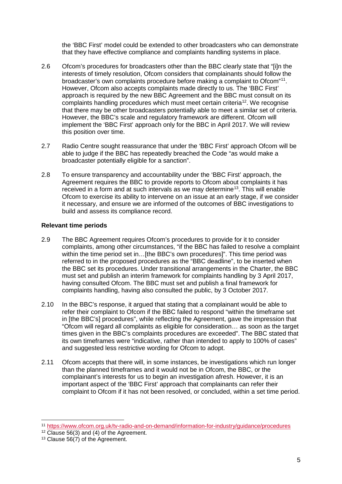the 'BBC First' model could be extended to other broadcasters who can demonstrate that they have effective compliance and complaints handling systems in place.

- 2.6 Ofcom's procedures for broadcasters other than the BBC clearly state that "[i]n the interests of timely resolution, Ofcom considers that complainants should follow the broadcaster's own complaints procedure before making a complaint to Ofcom"[11](#page-7-0). However, Ofcom also accepts complaints made directly to us. The 'BBC First' approach is required by the new BBC Agreement and the BBC must consult on its complaints handling procedures which must meet certain criteria[12](#page-7-1). We recognise that there may be other broadcasters potentially able to meet a similar set of criteria. However, the BBC's scale and regulatory framework are different. Ofcom will implement the 'BBC First' approach only for the BBC in April 2017. We will review this position over time.
- 2.7 Radio Centre sought reassurance that under the 'BBC First' approach Ofcom will be able to judge if the BBC has repeatedly breached the Code "as would make a broadcaster potentially eligible for a sanction".
- 2.8 To ensure transparency and accountability under the 'BBC First' approach, the Agreement requires the BBC to provide reports to Ofcom about complaints it has received in a form and at such intervals as we may determine<sup>[13](#page-7-2)</sup>. This will enable Ofcom to exercise its ability to intervene on an issue at an early stage, if we consider it necessary, and ensure we are informed of the outcomes of BBC investigations to build and assess its compliance record.

## **Relevant time periods**

- 2.9 The BBC Agreement requires Ofcom's procedures to provide for it to consider complaints, among other circumstances, "if the BBC has failed to resolve a complaint within the time period set in…[the BBC's own procedures]". This time period was referred to in the proposed procedures as the "BBC deadline", to be inserted when the BBC set its procedures. Under transitional arrangements in the Charter, the BBC must set and publish an interim framework for complaints handling by 3 April 2017, having consulted Ofcom. The BBC must set and publish a final framework for complaints handling, having also consulted the public, by 3 October 2017.
- 2.10 In the BBC's response, it argued that stating that a complainant would be able to refer their complaint to Ofcom if the BBC failed to respond "within the timeframe set in [the BBC's] procedures", while reflecting the Agreement, gave the impression that "Ofcom will regard all complaints as eligible for consideration… as soon as the target times given in the BBC's complaints procedures are exceeded". The BBC stated that its own timeframes were "indicative, rather than intended to apply to 100% of cases" and suggested less restrictive wording for Ofcom to adopt.
- 2.11 Ofcom accepts that there will, in some instances, be investigations which run longer than the planned timeframes and it would not be in Ofcom, the BBC, or the complainant's interests for us to begin an investigation afresh. However, it is an important aspect of the 'BBC First' approach that complainants can refer their complaint to Ofcom if it has not been resolved, or concluded, within a set time period.

<span id="page-7-0"></span> <sup>11</sup> <https://www.ofcom.org.uk/tv-radio-and-on-demand/information-for-industry/guidance/procedures>

 $12$  Clause 56(3) and (4) of the Agreement.

<span id="page-7-2"></span><span id="page-7-1"></span><sup>&</sup>lt;sup>13</sup> Clause 56(7) of the Agreement.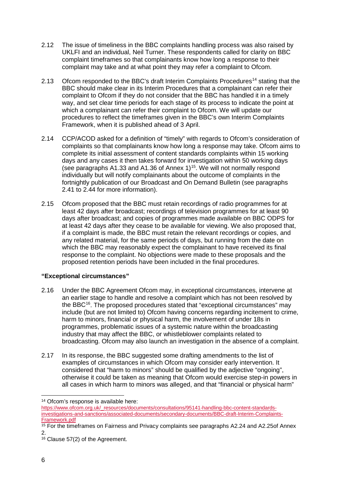- 2.12 The issue of timeliness in the BBC complaints handling process was also raised by UKLFI and an individual, Neil Turner. These respondents called for clarity on BBC complaint timeframes so that complainants know how long a response to their complaint may take and at what point they may refer a complaint to Ofcom.
- 2.13 Ofcom responded to the BBC's draft Interim Complaints Procedures<sup>[14](#page-8-0)</sup> stating that the BBC should make clear in its Interim Procedures that a complainant can refer their complaint to Ofcom if they do not consider that the BBC has handled it in a timely way, and set clear time periods for each stage of its process to indicate the point at which a complainant can refer their complaint to Ofcom. We will update our procedures to reflect the timeframes given in the BBC's own Interim Complaints Framework, when it is published ahead of 3 April.
- 2.14 CCP/ACOD asked for a definition of "timely" with regards to Ofcom's consideration of complaints so that complainants know how long a response may take. Ofcom aims to complete its initial assessment of content standards complaints within 15 working days and any cases it then takes forward for investigation within 50 working days (see paragraphs A1.33 and A1.36 of Annex 1)<sup>15</sup>. We will not normally respond individually but will notify complainants about the outcome of complaints in the fortnightly publication of our Broadcast and On Demand Bulletin (see paragraphs 2.41 to 2.44 for more information).
- 2.15 Ofcom proposed that the BBC must retain recordings of radio programmes for at least 42 days after broadcast; recordings of television programmes for at least 90 days after broadcast; and copies of programmes made available on BBC ODPS for at least 42 days after they cease to be available for viewing. We also proposed that, if a complaint is made, the BBC must retain the relevant recordings or copies, and any related material, for the same periods of days, but running from the date on which the BBC may reasonably expect the complainant to have received its final response to the complaint. No objections were made to these proposals and the proposed retention periods have been included in the final procedures.

## **"Exceptional circumstances"**

- 2.16 Under the BBC Agreement Ofcom may, in exceptional circumstances, intervene at an earlier stage to handle and resolve a complaint which has not been resolved by the BBC<sup>[16](#page-8-2)</sup>. The proposed procedures stated that "exceptional circumstances" may include (but are not limited to) Ofcom having concerns regarding incitement to crime, harm to minors, financial or physical harm, the involvement of under 18s in programmes, problematic issues of a systemic nature within the broadcasting industry that may affect the BBC, or whistleblower complaints related to broadcasting. Ofcom may also launch an investigation in the absence of a complaint.
- 2.17 In its response, the BBC suggested some drafting amendments to the list of examples of circumstances in which Ofcom may consider early intervention. It considered that "harm to minors" should be qualified by the adjective "ongoing", otherwise it could be taken as meaning that Ofcom would exercise step-in powers in all cases in which harm to minors was alleged, and that "financial or physical harm"

<span id="page-8-0"></span> <sup>14</sup> Ofcom's response is available here:

[https://www.ofcom.org.uk/\\_resources/documents/consultations/95141-handling-bbc-content-standards](https://www.ofcom.org.uk/_resources/documents/consultations/95141-handling-bbc-content-standards-investigations-and-sanctions/associated-documents/secondary-documents/BBC-draft-Interim-Complaints-Framework.pdf)[investigations-and-sanctions/associated-documents/secondary-documents/BBC-draft-Interim-Complaints-](https://www.ofcom.org.uk/_resources/documents/consultations/95141-handling-bbc-content-standards-investigations-and-sanctions/associated-documents/secondary-documents/BBC-draft-Interim-Complaints-Framework.pdf)[Framework.pdf](https://www.ofcom.org.uk/_resources/documents/consultations/95141-handling-bbc-content-standards-investigations-and-sanctions/associated-documents/secondary-documents/BBC-draft-Interim-Complaints-Framework.pdf)

<span id="page-8-1"></span><sup>&</sup>lt;sup>15</sup> For the timeframes on Fairness and Privacy complaints see paragraphs A2.24 and A2.25of Annex 2.

<span id="page-8-2"></span><sup>16</sup> Clause 57(2) of the Agreement.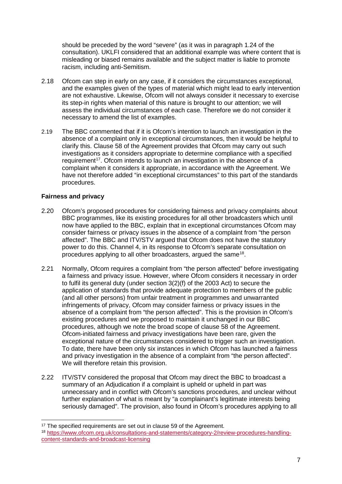should be preceded by the word "severe" (as it was in paragraph 1.24 of the consultation). UKLFI considered that an additional example was where content that is misleading or biased remains available and the subject matter is liable to promote racism, including anti-Semitism.

- 2.18 Ofcom can step in early on any case, if it considers the circumstances exceptional, and the examples given of the types of material which might lead to early intervention are not exhaustive. Likewise, Ofcom will not always consider it necessary to exercise its step-in rights when material of this nature is brought to our attention; we will assess the individual circumstances of each case. Therefore we do not consider it necessary to amend the list of examples.
- 2.19 The BBC commented that if it is Ofcom's intention to launch an investigation in the absence of a complaint only in exceptional circumstances, then it would be helpful to clarify this. Clause 58 of the Agreement provides that Ofcom may carry out such investigations as it considers appropriate to determine compliance with a specified requirement<sup>17</sup>. Ofcom intends to launch an investigation in the absence of a complaint when it considers it appropriate, in accordance with the Agreement. We have not therefore added "in exceptional circumstances" to this part of the standards procedures.

## **Fairness and privacy**

- 2.20 Ofcom's proposed procedures for considering fairness and privacy complaints about BBC programmes, like its existing procedures for all other broadcasters which until now have applied to the BBC, explain that in exceptional circumstances Ofcom may consider fairness or privacy issues in the absence of a complaint from "the person affected". The BBC and ITV/STV argued that Ofcom does not have the statutory power to do this. Channel 4, in its response to Ofcom's separate consultation on procedures applying to all other broadcasters, argued the same<sup>[18](#page-9-1)</sup>.
- 2.21 Normally, Ofcom requires a complaint from "the person affected" before investigating a fairness and privacy issue. However, where Ofcom considers it necessary in order to fulfil its general duty (under section 3(2)(f) of the 2003 Act) to secure the application of standards that provide adequate protection to members of the public (and all other persons) from unfair treatment in programmes and unwarranted infringements of privacy, Ofcom may consider fairness or privacy issues in the absence of a complaint from "the person affected". This is the provision in Ofcom's existing procedures and we proposed to maintain it unchanged in our BBC procedures, although we note the broad scope of clause 58 of the Agreement. Ofcom-initiated fairness and privacy investigations have been rare, given the exceptional nature of the circumstances considered to trigger such an investigation. To date, there have been only six instances in which Ofcom has launched a fairness and privacy investigation in the absence of a complaint from "the person affected". We will therefore retain this provision.
- 2.22 ITV/STV considered the proposal that Ofcom may direct the BBC to broadcast a summary of an Adjudication if a complaint is upheld or upheld in part was unnecessary and in conflict with Ofcom's sanctions procedures, and unclear without further explanation of what is meant by "a complainant's legitimate interests being seriously damaged". The provision, also found in Ofcom's procedures applying to all

<span id="page-9-0"></span><sup>&</sup>lt;sup>17</sup> The specified requirements are set out in clause 59 of the Agreement.

<span id="page-9-1"></span><sup>18</sup> [https://www.ofcom.org.uk/consultations-and-statements/category-2/review-procedures-handling](https://www.ofcom.org.uk/consultations-and-statements/category-2/review-procedures-handling-content-standards-and-broadcast-licensing)[content-standards-and-broadcast-licensing](https://www.ofcom.org.uk/consultations-and-statements/category-2/review-procedures-handling-content-standards-and-broadcast-licensing)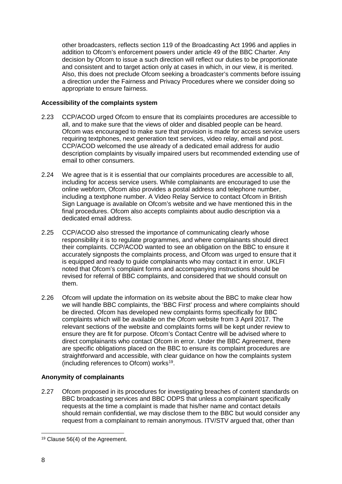other broadcasters, reflects section 119 of the Broadcasting Act 1996 and applies in addition to Ofcom's enforcement powers under article 49 of the BBC Charter. Any decision by Ofcom to issue a such direction will reflect our duties to be proportionate and consistent and to target action only at cases in which, in our view, it is merited. Also, this does not preclude Ofcom seeking a broadcaster's comments before issuing a direction under the Fairness and Privacy Procedures where we consider doing so appropriate to ensure fairness.

### **Accessibility of the complaints system**

- 2.23 CCP/ACOD urged Ofcom to ensure that its complaints procedures are accessible to all, and to make sure that the views of older and disabled people can be heard. Ofcom was encouraged to make sure that provision is made for access service users requiring textphones, next generation text services, video relay, email and post. CCP/ACOD welcomed the use already of a dedicated email address for audio description complaints by visually impaired users but recommended extending use of email to other consumers.
- 2.24 We agree that is it is essential that our complaints procedures are accessible to all, including for access service users. While complainants are encouraged to use the online webform, Ofcom also provides a postal address and telephone number, including a textphone number. A Video Relay Service to contact Ofcom in British Sign Language is available on Ofcom's website and we have mentioned this in the final procedures. Ofcom also accepts complaints about audio description via a dedicated email address.
- 2.25 CCP/ACOD also stressed the importance of communicating clearly whose responsibility it is to regulate programmes, and where complainants should direct their complaints. CCP/ACOD wanted to see an obligation on the BBC to ensure it accurately signposts the complaints process, and Ofcom was urged to ensure that it is equipped and ready to guide complainants who may contact it in error. UKLFI noted that Ofcom's complaint forms and accompanying instructions should be revised for referral of BBC complaints, and considered that we should consult on them.
- 2.26 Ofcom will update the information on its website about the BBC to make clear how we will handle BBC complaints, the 'BBC First' process and where complaints should be directed. Ofcom has developed new complaints forms specifically for BBC complaints which will be available on the Ofcom website from 3 April 2017. The relevant sections of the website and complaints forms will be kept under review to ensure they are fit for purpose. Ofcom's Contact Centre will be advised where to direct complainants who contact Ofcom in error. Under the BBC Agreement, there are specific obligations placed on the BBC to ensure its complaint procedures are straightforward and accessible, with clear guidance on how the complaints system (including references to Ofcom) works[19](#page-10-0).

## **Anonymity of complainants**

2.27 Ofcom proposed in its procedures for investigating breaches of content standards on BBC broadcasting services and BBC ODPS that unless a complainant specifically requests at the time a complaint is made that his/her name and contact details should remain confidential, we may disclose them to the BBC but would consider any request from a complainant to remain anonymous. ITV/STV argued that, other than

<span id="page-10-0"></span> <sup>19</sup> Clause 56(4) of the Agreement.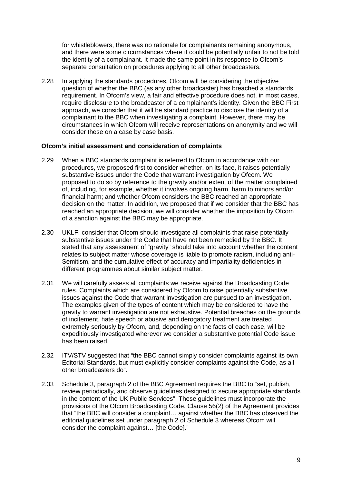for whistleblowers, there was no rationale for complainants remaining anonymous, and there were some circumstances where it could be potentially unfair to not be told the identity of a complainant. It made the same point in its response to Ofcom's separate consultation on procedures applying to all other broadcasters.

2.28 In applying the standards procedures, Ofcom will be considering the objective question of whether the BBC (as any other broadcaster) has breached a standards requirement. In Ofcom's view, a fair and effective procedure does not, in most cases, require disclosure to the broadcaster of a complainant's identity. Given the BBC First approach, we consider that it will be standard practice to disclose the identity of a complainant to the BBC when investigating a complaint. However, there may be circumstances in which Ofcom will receive representations on anonymity and we will consider these on a case by case basis.

#### **Ofcom's initial assessment and consideration of complaints**

- 2.29 When a BBC standards complaint is referred to Ofcom in accordance with our procedures, we proposed first to consider whether, on its face, it raises potentially substantive issues under the Code that warrant investigation by Ofcom. We proposed to do so by reference to the gravity and/or extent of the matter complained of, including, for example, whether it involves ongoing harm, harm to minors and/or financial harm; and whether Ofcom considers the BBC reached an appropriate decision on the matter. In addition, we proposed that if we consider that the BBC has reached an appropriate decision, we will consider whether the imposition by Ofcom of a sanction against the BBC may be appropriate.
- 2.30 UKLFI consider that Ofcom should investigate all complaints that raise potentially substantive issues under the Code that have not been remedied by the BBC. It stated that any assessment of "gravity" should take into account whether the content relates to subject matter whose coverage is liable to promote racism, including anti-Semitism, and the cumulative effect of accuracy and impartiality deficiencies in different programmes about similar subject matter.
- 2.31 We will carefully assess all complaints we receive against the Broadcasting Code rules. Complaints which are considered by Ofcom to raise potentially substantive issues against the Code that warrant investigation are pursued to an investigation. The examples given of the types of content which may be considered to have the gravity to warrant investigation are not exhaustive. Potential breaches on the grounds of incitement, hate speech or abusive and derogatory treatment are treated extremely seriously by Ofcom, and, depending on the facts of each case, will be expeditiously investigated wherever we consider a substantive potential Code issue has been raised.
- 2.32 ITV/STV suggested that "the BBC cannot simply consider complaints against its own Editorial Standards, but must explicitly consider complaints against the Code, as all other broadcasters do".
- 2.33 Schedule 3, paragraph 2 of the BBC Agreement requires the BBC to "set, publish, review periodically, and observe guidelines designed to secure appropriate standards in the content of the UK Public Services". These guidelines must incorporate the provisions of the Ofcom Broadcasting Code. Clause 56(2) of the Agreement provides that "the BBC will consider a complaint… against whether the BBC has observed the editorial guidelines set under paragraph 2 of Schedule 3 whereas Ofcom will consider the complaint against… [the Code]."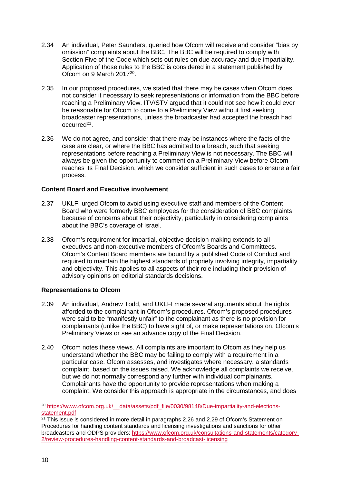- 2.34 An individual, Peter Saunders, queried how Ofcom will receive and consider "bias by omission" complaints about the BBC. The BBC will be required to comply with Section Five of the Code which sets out rules on due accuracy and due impartiality. Application of those rules to the BBC is considered in a statement published by Ofcom on 9 March 2017[20](#page-12-0).
- 2.35 In our proposed procedures, we stated that there may be cases when Ofcom does not consider it necessary to seek representations or information from the BBC before reaching a Preliminary View. ITV/STV argued that it could not see how it could ever be reasonable for Ofcom to come to a Preliminary View without first seeking broadcaster representations, unless the broadcaster had accepted the breach had occurred[21](#page-12-1).
- 2.36 We do not agree, and consider that there may be instances where the facts of the case are clear, or where the BBC has admitted to a breach, such that seeking representations before reaching a Preliminary View is not necessary. The BBC will always be given the opportunity to comment on a Preliminary View before Ofcom reaches its Final Decision, which we consider sufficient in such cases to ensure a fair process.

## **Content Board and Executive involvement**

- 2.37 UKLFI urged Ofcom to avoid using executive staff and members of the Content Board who were formerly BBC employees for the consideration of BBC complaints because of concerns about their objectivity, particularly in considering complaints about the BBC's coverage of Israel.
- 2.38 Ofcom's requirement for impartial, objective decision making extends to all executives and non-executive members of Ofcom's Boards and Committees. Ofcom's Content Board members are bound by a published Code of Conduct and required to maintain the highest standards of propriety involving integrity, impartiality and objectivity. This applies to all aspects of their role including their provision of advisory opinions on editorial standards decisions.

### **Representations to Ofcom**

- 2.39 An individual, Andrew Todd, and UKLFI made several arguments about the rights afforded to the complainant in Ofcom's procedures. Ofcom's proposed procedures were said to be "manifestly unfair" to the complainant as there is no provision for complainants (unlike the BBC) to have sight of, or make representations on, Ofcom's Preliminary Views or see an advance copy of the Final Decision.
- 2.40 Ofcom notes these views. All complaints are important to Ofcom as they help us understand whether the BBC may be failing to comply with a requirement in a particular case. Ofcom assesses, and investigates where necessary, a standards complaint based on the issues raised. We acknowledge all complaints we receive, but we do not normally correspond any further with individual complainants. Complainants have the opportunity to provide representations when making a complaint. We consider this approach is appropriate in the circumstances, and does

<span id="page-12-0"></span><sup>&</sup>lt;sup>20</sup> https://www.ofcom.org.uk/ data/assets/pdf file/0030/98148/Due-impartiality-and-elections[statement.pdf](https://www.ofcom.org.uk/__data/assets/pdf_file/0030/98148/Due-impartiality-and-elections-statement.pdf)

<span id="page-12-1"></span> $\frac{21}{21}$  This issue is considered in more detail in paragraphs 2.26 and 2.29 of Ofcom's Statement on Procedures for handling content standards and licensing investigations and sanctions for other broadcasters and ODPS providers: [https://www.ofcom.org.uk/consultations-and-statements/category-](https://www.ofcom.org.uk/consultations-and-statements/category-2/review-procedures-handling-content-standards-and-broadcast-licensing)[2/review-procedures-handling-content-standards-and-broadcast-licensing](https://www.ofcom.org.uk/consultations-and-statements/category-2/review-procedures-handling-content-standards-and-broadcast-licensing)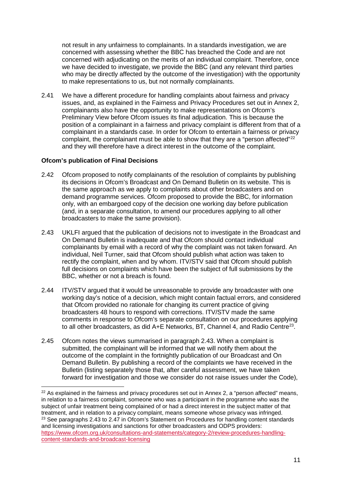not result in any unfairness to complainants. In a standards investigation, we are concerned with assessing whether the BBC has breached the Code and are not concerned with adjudicating on the merits of an individual complaint. Therefore, once we have decided to investigate, we provide the BBC (and any relevant third parties who may be directly affected by the outcome of the investigation) with the opportunity to make representations to us, but not normally complainants.

2.41 We have a different procedure for handling complaints about fairness and privacy issues, and, as explained in the Fairness and Privacy Procedures set out in Annex 2, complainants also have the opportunity to make representations on Ofcom's Preliminary View before Ofcom issues its final adjudication. This is because the position of a complainant in a fairness and privacy complaint is different from that of a complainant in a standards case. In order for Ofcom to entertain a fairness or privacy complaint, the complainant must be able to show that they are a "person affected"<sup>[22](#page-13-0)</sup> and they will therefore have a direct interest in the outcome of the complaint.

### **Ofcom's publication of Final Decisions**

- 2.42 Ofcom proposed to notify complainants of the resolution of complaints by publishing its decisions in Ofcom's Broadcast and On Demand Bulletin on its website. This is the same approach as we apply to complaints about other broadcasters and on demand programme services. Ofcom proposed to provide the BBC, for information only, with an embargoed copy of the decision one working day before publication (and, in a separate consultation, to amend our procedures applying to all other broadcasters to make the same provision).
- 2.43 UKLFI argued that the publication of decisions not to investigate in the Broadcast and On Demand Bulletin is inadequate and that Ofcom should contact individual complainants by email with a record of why the complaint was not taken forward. An individual, Neil Turner, said that Ofcom should publish what action was taken to rectify the complaint, when and by whom. ITV/STV said that Ofcom should publish full decisions on complaints which have been the subject of full submissions by the BBC, whether or not a breach is found.
- 2.44 ITV/STV argued that it would be unreasonable to provide any broadcaster with one working day's notice of a decision, which might contain factual errors, and considered that Ofcom provided no rationale for changing its current practice of giving broadcasters 48 hours to respond with corrections. ITV/STV made the same comments in response to Ofcom's separate consultation on our procedures applying to all other broadcasters, as did A+E Networks, BT, Channel 4, and Radio Centre<sup>[23](#page-13-1)</sup>.
- 2.45 Ofcom notes the views summarised in paragraph 2.43. When a complaint is submitted, the complainant will be informed that we will notify them about the outcome of the complaint in the fortnightly publication of our Broadcast and On Demand Bulletin. By publishing a record of the complaints we have received in the Bulletin (listing separately those that, after careful assessment, we have taken forward for investigation and those we consider do not raise issues under the Code),

<span id="page-13-1"></span><span id="page-13-0"></span> $22$  As explained in the fairness and privacy procedures set out in Annex 2, a "person affected" means, in relation to a fairness complaint, someone who was a participant in the programme who was the subject of unfair treatment being complained of or had a direct interest in the subject matter of that treatment, and in relation to a privacy complaint, means someone whose privacy was infringed. <sup>23</sup> See paragraphs 2.43 to 2.47 in Ofcom's Statement on Procedures for handling content standards and licensing investigations and sanctions for other broadcasters and ODPS providers: [https://www.ofcom.org.uk/consultations-and-statements/category-2/review-procedures-handling](https://www.ofcom.org.uk/consultations-and-statements/category-2/review-procedures-handling-content-standards-and-broadcast-licensing)[content-standards-and-broadcast-licensing](https://www.ofcom.org.uk/consultations-and-statements/category-2/review-procedures-handling-content-standards-and-broadcast-licensing)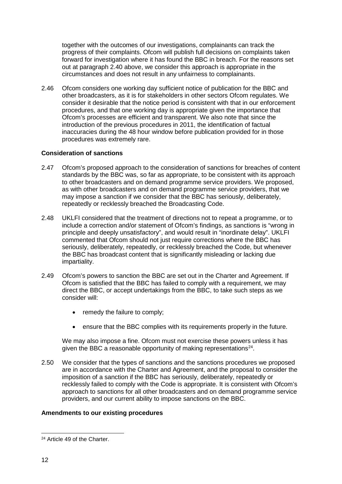together with the outcomes of our investigations, complainants can track the progress of their complaints. Ofcom will publish full decisions on complaints taken forward for investigation where it has found the BBC in breach. For the reasons set out at paragraph 2.40 above, we consider this approach is appropriate in the circumstances and does not result in any unfairness to complainants.

2.46 Ofcom considers one working day sufficient notice of publication for the BBC and other broadcasters, as it is for stakeholders in other sectors Ofcom regulates. We consider it desirable that the notice period is consistent with that in our enforcement procedures, and that one working day is appropriate given the importance that Ofcom's processes are efficient and transparent. We also note that since the introduction of the previous procedures in 2011, the identification of factual inaccuracies during the 48 hour window before publication provided for in those procedures was extremely rare.

### **Consideration of sanctions**

- 2.47 Ofcom's proposed approach to the consideration of sanctions for breaches of content standards by the BBC was, so far as appropriate, to be consistent with its approach to other broadcasters and on demand programme service providers. We proposed, as with other broadcasters and on demand programme service providers, that we may impose a sanction if we consider that the BBC has seriously, deliberately, repeatedly or recklessly breached the Broadcasting Code.
- 2.48 UKLFI considered that the treatment of directions not to repeat a programme, or to include a correction and/or statement of Ofcom's findings, as sanctions is "wrong in principle and deeply unsatisfactory", and would result in "inordinate delay". UKLFI commented that Ofcom should not just require corrections where the BBC has seriously, deliberately, repeatedly, or recklessly breached the Code, but whenever the BBC has broadcast content that is significantly misleading or lacking due impartiality.
- 2.49 Ofcom's powers to sanction the BBC are set out in the Charter and Agreement. If Ofcom is satisfied that the BBC has failed to comply with a requirement, we may direct the BBC, or accept undertakings from the BBC, to take such steps as we consider will:
	- remedy the failure to comply;
	- ensure that the BBC complies with its requirements properly in the future.

We may also impose a fine. Ofcom must not exercise these powers unless it has given the BBC a reasonable opportunity of making representations<sup>[24](#page-14-0)</sup>.

2.50 We consider that the types of sanctions and the sanctions procedures we proposed are in accordance with the Charter and Agreement, and the proposal to consider the imposition of a sanction if the BBC has seriously, deliberately, repeatedly or recklessly failed to comply with the Code is appropriate. It is consistent with Ofcom's approach to sanctions for all other broadcasters and on demand programme service providers, and our current ability to impose sanctions on the BBC.

## **Amendments to our existing procedures**

<span id="page-14-0"></span><sup>24</sup> Article 49 of the Charter.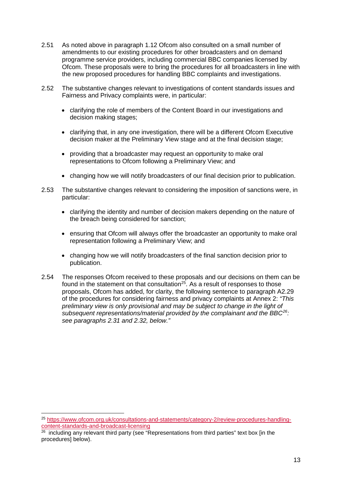- 2.51 As noted above in paragraph 1.12 Ofcom also consulted on a small number of amendments to our existing procedures for other broadcasters and on demand programme service providers, including commercial BBC companies licensed by Ofcom. These proposals were to bring the procedures for all broadcasters in line with the new proposed procedures for handling BBC complaints and investigations.
- 2.52 The substantive changes relevant to investigations of content standards issues and Fairness and Privacy complaints were, in particular:
	- clarifying the role of members of the Content Board in our investigations and decision making stages;
	- clarifying that, in any one investigation, there will be a different Ofcom Executive decision maker at the Preliminary View stage and at the final decision stage;
	- providing that a broadcaster may request an opportunity to make oral representations to Ofcom following a Preliminary View; and
	- changing how we will notify broadcasters of our final decision prior to publication.
- 2.53 The substantive changes relevant to considering the imposition of sanctions were, in particular:
	- clarifying the identity and number of decision makers depending on the nature of the breach being considered for sanction;
	- ensuring that Ofcom will always offer the broadcaster an opportunity to make oral representation following a Preliminary View; and
	- changing how we will notify broadcasters of the final sanction decision prior to publication.
- 2.54 The responses Ofcom received to these proposals and our decisions on them can be found in the statement on that consultation<sup>25</sup>. As a result of responses to those proposals, Ofcom has added, for clarity, the following sentence to paragraph A2.29 of the procedures for considering fairness and privacy complaints at Annex 2: *"This preliminary view is only provisional and may be subject to change in the light of subsequent representations/material provided by the complainant and the BBC[26](#page-15-1): see paragraphs 2.31 and 2.32, below."*

<span id="page-15-0"></span> <sup>25</sup> [https://www.ofcom.org.uk/consultations-and-statements/category-2/review-procedures-handling](https://www.ofcom.org.uk/consultations-and-statements/category-2/review-procedures-handling-content-standards-and-broadcast-licensing)[content-standards-and-broadcast-licensing](https://www.ofcom.org.uk/consultations-and-statements/category-2/review-procedures-handling-content-standards-and-broadcast-licensing)

<span id="page-15-1"></span><sup>&</sup>lt;sup>26</sup> including any relevant third party (see "Representations from third parties" text box [in the procedures] below).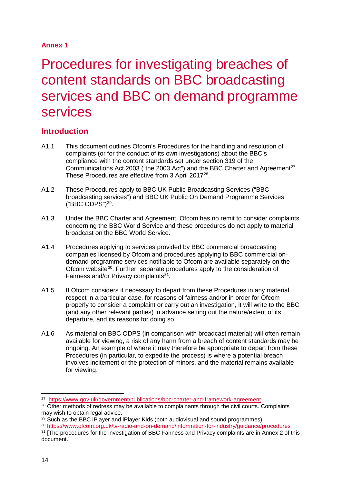## **Annex 1**

# <span id="page-16-0"></span>Procedures for investigating breaches of content standards on BBC broadcasting services and BBC on demand programme services

# **Introduction**

- A1.1 This document outlines Ofcom's Procedures for the handling and resolution of complaints (or for the conduct of its own investigations) about the BBC's compliance with the content standards set under section 319 of the Communications Act 2003 ("the 2003 Act") and the BBC Charter and Agreement<sup>[27](#page-16-1)</sup>. These Procedures are effective from 3 April 2017<sup>28</sup>.
- A1.2 These Procedures apply to BBC UK Public Broadcasting Services ("BBC broadcasting services") and BBC UK Public On Demand Programme Services  $("BBC ODPS")<sup>29</sup>$  $("BBC ODPS")<sup>29</sup>$  $("BBC ODPS")<sup>29</sup>$ .
- A1.3 Under the BBC Charter and Agreement, Ofcom has no remit to consider complaints concerning the BBC World Service and these procedures do not apply to material broadcast on the BBC World Service.
- A1.4 Procedures applying to services provided by BBC commercial broadcasting companies licensed by Ofcom and procedures applying to BBC commercial ondemand programme services notifiable to Ofcom are available separately on the Ofcom website<sup>30</sup>. Further, separate procedures apply to the consideration of Fairness and/or Privacy complaints $31$ .
- A1.5 If Ofcom considers it necessary to depart from these Procedures in any material respect in a particular case, for reasons of fairness and/or in order for Ofcom properly to consider a complaint or carry out an investigation, it will write to the BBC (and any other relevant parties) in advance setting out the nature/extent of its departure, and its reasons for doing so.
- A1.6 As material on BBC ODPS (in comparison with broadcast material) will often remain available for viewing, a risk of any harm from a breach of content standards may be ongoing. An example of where it may therefore be appropriate to depart from these Procedures (in particular, to expedite the process) is where a potential breach involves incitement or the protection of minors, and the material remains available for viewing.

<span id="page-16-1"></span> <sup>27</sup> <https://www.gov.uk/government/publications/bbc-charter-and-framework-agreement>

<span id="page-16-2"></span><sup>&</sup>lt;sup>28</sup> Other methods of redress may be available to complainants through the civil courts. Complaints may wish to obtain legal advice.

<span id="page-16-3"></span> $29$  Such as the BBC iPlayer and iPlayer Kids (both audiovisual and sound programmes).

<span id="page-16-4"></span><sup>30</sup> <https://www.ofcom.org.uk/tv-radio-and-on-demand/information-for-industry/guidance/procedures>

<span id="page-16-5"></span><sup>&</sup>lt;sup>31</sup> [The procedures for the investigation of BBC Fairness and Privacy complaints are in Annex 2 of this document.]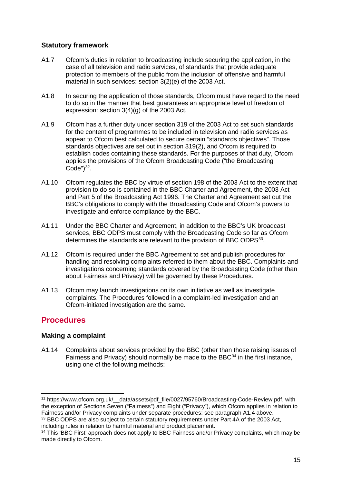## **Statutory framework**

- A1.7 Ofcom's duties in relation to broadcasting include securing the application, in the case of all television and radio services, of standards that provide adequate protection to members of the public from the inclusion of offensive and harmful material in such services: section 3(2)(e) of the 2003 Act.
- A1.8 In securing the application of those standards, Ofcom must have regard to the need to do so in the manner that best guarantees an appropriate level of freedom of expression: section 3(4)(g) of the 2003 Act.
- A1.9 Ofcom has a further duty under section 319 of the 2003 Act to set such standards for the content of programmes to be included in television and radio services as appear to Ofcom best calculated to secure certain "standards objectives". Those standards objectives are set out in section 319(2), and Ofcom is required to establish codes containing these standards. For the purposes of that duty, Ofcom applies the provisions of the Ofcom Broadcasting Code ("the Broadcasting Code" $)^{32}$  $)^{32}$  $)^{32}$ .
- A1.10 Ofcom regulates the BBC by virtue of section 198 of the 2003 Act to the extent that provision to do so is contained in the BBC Charter and Agreement, the 2003 Act and Part 5 of the Broadcasting Act 1996. The Charter and Agreement set out the BBC's obligations to comply with the Broadcasting Code and Ofcom's powers to investigate and enforce compliance by the BBC.
- A1.11 Under the BBC Charter and Agreement, in addition to the BBC's UK broadcast services, BBC ODPS must comply with the Broadcasting Code so far as Ofcom determines the standards are relevant to the provision of BBC ODPS<sup>33</sup>.
- A1.12 Ofcom is required under the BBC Agreement to set and publish procedures for handling and resolving complaints referred to them about the BBC. Complaints and investigations concerning standards covered by the Broadcasting Code (other than about Fairness and Privacy) will be governed by these Procedures.
- A1.13 Ofcom may launch investigations on its own initiative as well as investigate complaints. The Procedures followed in a complaint-led investigation and an Ofcom-initiated investigation are the same.

# **Procedures**

## **Making a complaint**

A1.14 Complaints about services provided by the BBC (other than those raising issues of Fairness and Privacy) should normally be made to the BBC $34$  in the first instance, using one of the following methods:

<span id="page-17-1"></span><sup>33</sup> BBC ODPS are also subject to certain statutory requirements under Part 4A of the 2003 Act. including rules in relation to harmful material and product placement.

<span id="page-17-0"></span><sup>&</sup>lt;sup>32</sup> https://www.ofcom.org.uk/ data/assets/pdf file/0027/95760/Broadcasting-Code-Review.pdf, with the exception of Sections Seven ("Fairness") and Eight ("Privacy"), which Ofcom applies in relation to Fairness and/or Privacy complaints under separate procedures: see paragraph A1.4 above.

<span id="page-17-2"></span><sup>&</sup>lt;sup>34</sup> This 'BBC First' approach does not apply to BBC Fairness and/or Privacy complaints, which may be made directly to Ofcom.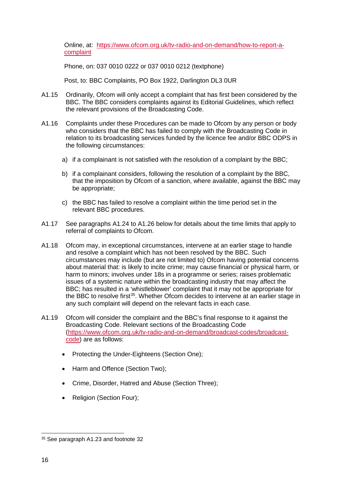Online, at: [https://www.ofcom.org.uk/tv-radio-and-on-demand/how-to-report-a](https://www.ofcom.org.uk/tv-radio-and-on-demand/how-to-report-a-complaint)[complaint](https://www.ofcom.org.uk/tv-radio-and-on-demand/how-to-report-a-complaint)

Phone, on: 037 0010 0222 or 037 0010 0212 (textphone)

Post, to: BBC Complaints, PO Box 1922, Darlington DL3 0UR

- A1.15 Ordinarily, Ofcom will only accept a complaint that has first been considered by the BBC. The BBC considers complaints against its Editorial Guidelines, which reflect the relevant provisions of the Broadcasting Code.
- A1.16 Complaints under these Procedures can be made to Ofcom by any person or body who considers that the BBC has failed to comply with the Broadcasting Code in relation to its broadcasting services funded by the licence fee and/or BBC ODPS in the following circumstances:
	- a) if a complainant is not satisfied with the resolution of a complaint by the BBC;
	- b) if a complainant considers, following the resolution of a complaint by the BBC, that the imposition by Ofcom of a sanction, where available, against the BBC may be appropriate;
	- c) the BBC has failed to resolve a complaint within the time period set in the relevant BBC procedures.
- A1.17 See paragraphs A1.24 to A1.26 below for details about the time limits that apply to referral of complaints to Ofcom.
- A1.18 Ofcom may, in exceptional circumstances, intervene at an earlier stage to handle and resolve a complaint which has not been resolved by the BBC. Such circumstances may include (but are not limited to) Ofcom having potential concerns about material that: is likely to incite crime; may cause financial or physical harm, or harm to minors; involves under 18s in a programme or series; raises problematic issues of a systemic nature within the broadcasting industry that may affect the BBC; has resulted in a 'whistleblower' complaint that it may not be appropriate for the BBC to resolve first<sup>[35](#page-18-0)</sup>. Whether Ofcom decides to intervene at an earlier stage in any such complaint will depend on the relevant facts in each case.
- A1.19 Ofcom will consider the complaint and the BBC's final response to it against the Broadcasting Code. Relevant sections of the Broadcasting Code [\(https://www.ofcom.org.uk/tv-radio-and-on-demand/broadcast-codes/broadcast](https://www.ofcom.org.uk/tv-radio-and-on-demand/broadcast-codes/broadcast-code)[code\)](https://www.ofcom.org.uk/tv-radio-and-on-demand/broadcast-codes/broadcast-code) are as follows:
	- Protecting the Under-Eighteens (Section One);
	- Harm and Offence (Section Two):
	- Crime, Disorder, Hatred and Abuse (Section Three);
	- Religion (Section Four);

<span id="page-18-0"></span> <sup>35</sup> See paragraph A1.23 and footnote 32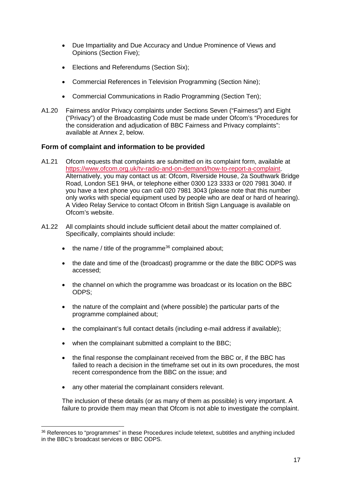- Due Impartiality and Due Accuracy and Undue Prominence of Views and Opinions (Section Five);
- Elections and Referendums (Section Six);
- Commercial References in Television Programming (Section Nine);
- Commercial Communications in Radio Programming (Section Ten);
- A1.20 Fairness and/or Privacy complaints under Sections Seven ("Fairness") and Eight ("Privacy") of the Broadcasting Code must be made under Ofcom's "Procedures for the consideration and adjudication of BBC Fairness and Privacy complaints": available at Annex 2, below.

## **Form of complaint and information to be provided**

- A1.21 Ofcom requests that complaints are submitted on its complaint form, available at [https://www.ofcom.org.uk/tv-radio-and-on-demand/how-to-report-a-complaint.](https://www.ofcom.org.uk/tv-radio-and-on-demand/how-to-report-a-complaint) Alternatively, you may contact us at: Ofcom, Riverside House, 2a Southwark Bridge Road, London SE1 9HA, or telephone either 0300 123 3333 or 020 7981 3040. If you have a text phone you can call 020 7981 3043 (please note that this number only works with special equipment used by people who are deaf or hard of hearing). A Video Relay Service to contact Ofcom in British Sign Language is available on Ofcom's website.
- A1.22 All complaints should include sufficient detail about the matter complained of. Specifically, complaints should include:
	- $\bullet$  the name / title of the programme<sup>36</sup> complained about;
	- the date and time of the (broadcast) programme or the date the BBC ODPS was accessed;
	- the channel on which the programme was broadcast or its location on the BBC ODPS;
	- the nature of the complaint and (where possible) the particular parts of the programme complained about;
	- the complainant's full contact details (including e-mail address if available);
	- when the complainant submitted a complaint to the BBC;
	- the final response the complainant received from the BBC or, if the BBC has failed to reach a decision in the timeframe set out in its own procedures, the most recent correspondence from the BBC on the issue; and
	- any other material the complainant considers relevant.

The inclusion of these details (or as many of them as possible) is very important. A failure to provide them may mean that Ofcom is not able to investigate the complaint.

<span id="page-19-0"></span> <sup>36</sup> References to "programmes" in these Procedures include teletext, subtitles and anything included in the BBC's broadcast services or BBC ODPS.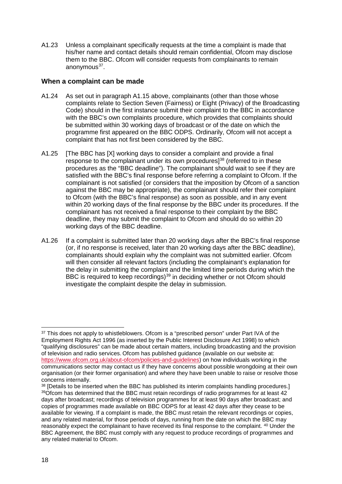A1.23 Unless a complainant specifically requests at the time a complaint is made that his/her name and contact details should remain confidential, Ofcom may disclose them to the BBC. Ofcom will consider requests from complainants to remain anonymous<sup>37</sup>.

## **When a complaint can be made**

- A1.24 As set out in paragraph A1.15 above, complainants (other than those whose complaints relate to Section Seven (Fairness) or Eight (Privacy) of the Broadcasting Code) should in the first instance submit their complaint to the BBC in accordance with the BBC's own complaints procedure, which provides that complaints should be submitted within 30 working days of broadcast or of the date on which the programme first appeared on the BBC ODPS. Ordinarily, Ofcom will not accept a complaint that has not first been considered by the BBC.
- A1.25 [The BBC has [X] working days to consider a complaint and provide a final response to the complainant under its own procedures]<sup>[38](#page-20-1)</sup> (referred to in these procedures as the "BBC deadline"). The complainant should wait to see if they are satisfied with the BBC's final response before referring a complaint to Ofcom. If the complainant is not satisfied (or considers that the imposition by Ofcom of a sanction against the BBC may be appropriate), the complainant should refer their complaint to Ofcom (with the BBC's final response) as soon as possible, and in any event within 20 working days of the final response by the BBC under its procedures. If the complainant has not received a final response to their complaint by the BBC deadline, they may submit the complaint to Ofcom and should do so within 20 working days of the BBC deadline.
- A1.26 If a complaint is submitted later than 20 working days after the BBC's final response (or, if no response is received, later than 20 working days after the BBC deadline), complainants should explain why the complaint was not submitted earlier. Ofcom will then consider all relevant factors (including the complainant's explanation for the delay in submitting the complaint and the limited time periods during which the BBC is required to keep recordings)<sup>39</sup> in deciding whether or not Ofcom should investigate the complaint despite the delay in submission.

<span id="page-20-0"></span><sup>&</sup>lt;sup>37</sup> This does not apply to whistleblowers. Ofcom is a "prescribed person" under Part IVA of the Employment Rights Act 1996 (as inserted by the Public Interest Disclosure Act 1998) to which "qualifying disclosures" can be made about certain matters, including broadcasting and the provision of television and radio services. Ofcom has published guidance (available on our website at: [https://www.ofcom.org.uk/about-ofcom/policies-and-guidelines\)](https://www.ofcom.org.uk/about-ofcom/policies-and-guidelines) on how individuals working in the communications sector may contact us if they have concerns about possible wrongdoing at their own organisation (or their former organisation) and where they have been unable to raise or resolve those concerns internally.

<span id="page-20-2"></span><span id="page-20-1"></span><sup>&</sup>lt;sup>38</sup> [Details to be inserted when the BBC has published its interim complaints handling procedures.] 39Ofcom has determined that the BBC must retain recordings of radio programmes for at least 42 days after broadcast; recordings of television programmes for at least 90 days after broadcast; and copies of programmes made available on BBC ODPS for at least 42 days after they cease to be available for viewing. If a complaint is made, the BBC must retain the relevant recordings or copies, and any related material, for those periods of days, running from the date on which the BBC may reasonably expect the complainant to have received its final response to the complaint. 40 Under the BBC Agreement, the BBC must comply with any request to produce recordings of programmes and any related material to Ofcom.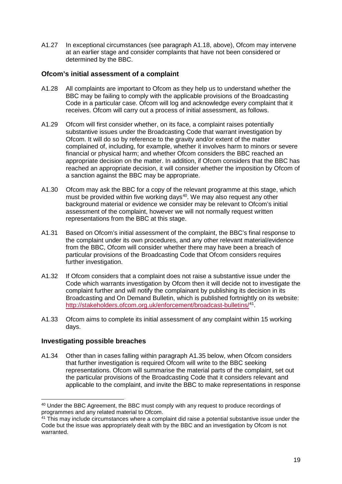A1.27 In exceptional circumstances (see paragraph A1.18, above), Ofcom may intervene at an earlier stage and consider complaints that have not been considered or determined by the BBC.

## **Ofcom's initial assessment of a complaint**

- A1.28 All complaints are important to Ofcom as they help us to understand whether the BBC may be failing to comply with the applicable provisions of the Broadcasting Code in a particular case. Ofcom will log and acknowledge every complaint that it receives. Ofcom will carry out a process of initial assessment, as follows.
- A1.29 Ofcom will first consider whether, on its face, a complaint raises potentially substantive issues under the Broadcasting Code that warrant investigation by Ofcom. It will do so by reference to the gravity and/or extent of the matter complained of, including, for example, whether it involves harm to minors or severe financial or physical harm; and whether Ofcom considers the BBC reached an appropriate decision on the matter. In addition, if Ofcom considers that the BBC has reached an appropriate decision, it will consider whether the imposition by Ofcom of a sanction against the BBC may be appropriate.
- A1.30 Ofcom may ask the BBC for a copy of the relevant programme at this stage, which must be provided within five working days<sup>40</sup>. We may also request any other background material or evidence we consider may be relevant to Ofcom's initial assessment of the complaint, however we will not normally request written representations from the BBC at this stage.
- A1.31 Based on Ofcom's initial assessment of the complaint, the BBC's final response to the complaint under its own procedures, and any other relevant material/evidence from the BBC, Ofcom will consider whether there may have been a breach of particular provisions of the Broadcasting Code that Ofcom considers requires further investigation.
- A1.32 If Ofcom considers that a complaint does not raise a substantive issue under the Code which warrants investigation by Ofcom then it will decide not to investigate the complaint further and will notify the complainant by publishing its decision in its Broadcasting and On Demand Bulletin, which is published fortnightly on its website: <http://stakeholders.ofcom.org.uk/enforcement/broadcast-bulletins/><sup>[41](#page-21-1)</sup>.
- A1.33 Ofcom aims to complete its initial assessment of any complaint within 15 working days.

### **Investigating possible breaches**

A1.34 Other than in cases falling within paragraph A1.35 below, when Ofcom considers that further investigation is required Ofcom will write to the BBC seeking representations. Ofcom will summarise the material parts of the complaint, set out the particular provisions of the Broadcasting Code that it considers relevant and applicable to the complaint, and invite the BBC to make representations in response

<span id="page-21-1"></span><span id="page-21-0"></span> <sup>40</sup> Under the BBC Agreement, the BBC must comply with any request to produce recordings of programmes and any related material to Ofcom.

<span id="page-21-2"></span> $41$  This may include circumstances where a complaint did raise a potential substantive issue under the Code but the issue was appropriately dealt with by the BBC and an investigation by Ofcom is not warranted.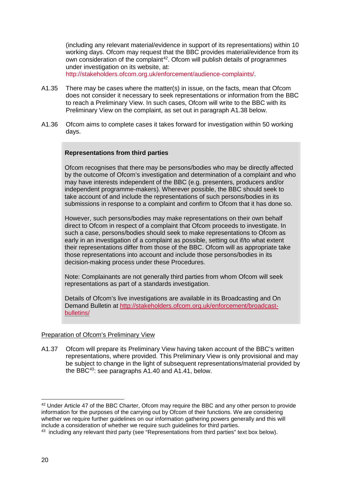(including any relevant material/evidence in support of its representations) within 10 working days. Ofcom may request that the BBC provides material/evidence from its own consideration of the complaint<sup>[42](#page-21-2)</sup>. Ofcom will publish details of programmes under investigation on its website, at:

[http://stakeholders.ofcom.org.uk/enforcement/audience-complaints/.](http://stakeholders.ofcom.org.uk/enforcement/audience-complaints/)

- A1.35 There may be cases where the matter(s) in issue, on the facts, mean that Ofcom does not consider it necessary to seek representations or information from the BBC to reach a Preliminary View. In such cases, Ofcom will write to the BBC with its Preliminary View on the complaint, as set out in paragraph A1.38 below.
- A1.36 Ofcom aims to complete cases it takes forward for investigation within 50 working days.

#### **Representations from third parties**

Ofcom recognises that there may be persons/bodies who may be directly affected by the outcome of Ofcom's investigation and determination of a complaint and who may have interests independent of the BBC (e.g. presenters, producers and/or independent programme-makers). Wherever possible, the BBC should seek to take account of and include the representations of such persons/bodies in its submissions in response to a complaint and confirm to Ofcom that it has done so.

However, such persons/bodies may make representations on their own behalf direct to Ofcom in respect of a complaint that Ofcom proceeds to investigate. In such a case, persons/bodies should seek to make representations to Ofcom as early in an investigation of a complaint as possible, setting out if/to what extent their representations differ from those of the BBC. Ofcom will as appropriate take those representations into account and include those persons/bodies in its decision-making process under these Procedures.

Note: Complainants are not generally third parties from whom Ofcom will seek representations as part of a standards investigation.

Details of Ofcom's live investigations are available in its Broadcasting and On Demand Bulletin at [http://stakeholders.ofcom.org.uk/enforcement/broadcast](http://stakeholders.ofcom.org.uk/enforcement/broadcast-bulletins/)[bulletins/](http://stakeholders.ofcom.org.uk/enforcement/broadcast-bulletins/)

#### Preparation of Ofcom's Preliminary View

A1.37 Ofcom will prepare its Preliminary View having taken account of the BBC's written representations, where provided. This Preliminary View is only provisional and may be subject to change in the light of subsequent representations/material provided by the BBC<sup>43</sup>: see paragraphs  $A1.40$  and  $A1.41$ , below.

<sup>&</sup>lt;sup>42</sup> Under Article 47 of the BBC Charter, Ofcom may require the BBC and any other person to provide information for the purposes of the carrying out by Ofcom of their functions. We are considering whether we require further quidelines on our information gathering powers generally and this will include a consideration of whether we require such guidelines for third parties.

<span id="page-22-1"></span><span id="page-22-0"></span> $43$  including any relevant third party (see "Representations from third parties" text box below).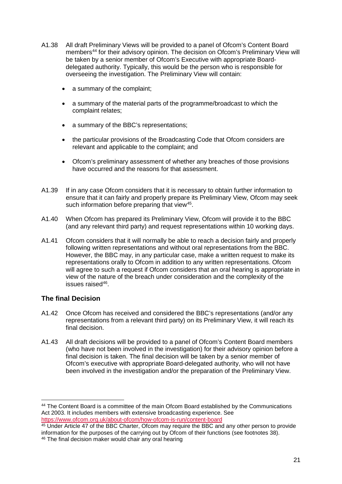- A1.38 All draft Preliminary Views will be provided to a panel of Ofcom's Content Board members<sup>[44](#page-22-1)</sup> for their advisory opinion. The decision on Ofcom's Preliminary View will be taken by a senior member of Ofcom's Executive with appropriate Boarddelegated authority. Typically, this would be the person who is responsible for overseeing the investigation. The Preliminary View will contain:
	- a summary of the complaint;
	- a summary of the material parts of the programme/broadcast to which the complaint relates;
	- a summary of the BBC's representations;
	- the particular provisions of the Broadcasting Code that Ofcom considers are relevant and applicable to the complaint; and
	- Ofcom's preliminary assessment of whether any breaches of those provisions have occurred and the reasons for that assessment.
- A1.39 If in any case Ofcom considers that it is necessary to obtain further information to ensure that it can fairly and properly prepare its Preliminary View, Ofcom may seek such information before preparing that view<sup>45</sup>.
- A1.40 When Ofcom has prepared its Preliminary View, Ofcom will provide it to the BBC (and any relevant third party) and request representations within 10 working days.
- A1.41 Ofcom considers that it will normally be able to reach a decision fairly and properly following written representations and without oral representations from the BBC. However, the BBC may, in any particular case, make a written request to make its representations orally to Ofcom in addition to any written representations. Ofcom will agree to such a request if Ofcom considers that an oral hearing is appropriate in view of the nature of the breach under consideration and the complexity of the issues raised<sup>46</sup>.

## **The final Decision**

- A1.42 Once Ofcom has received and considered the BBC's representations (and/or any representations from a relevant third party) on its Preliminary View, it will reach its final decision.
- A1.43 All draft decisions will be provided to a panel of Ofcom's Content Board members (who have not been involved in the investigation) for their advisory opinion before a final decision is taken. The final decision will be taken by a senior member of Ofcom's executive with appropriate Board-delegated authority, who will not have been involved in the investigation and/or the preparation of the Preliminary View.

<sup>&</sup>lt;sup>44</sup> The Content Board is a committee of the main Ofcom Board established by the Communications Act 2003. It includes members with extensive broadcasting experience. See <https://www.ofcom.org.uk/about-ofcom/how-ofcom-is-run/content-board>

<span id="page-23-1"></span><span id="page-23-0"></span><sup>45</sup> Under Article 47 of the BBC Charter, Ofcom may require the BBC and any other person to provide information for the purposes of the carrying out by Ofcom of their functions (see footnotes 38). <sup>46</sup> The final decision maker would chair any oral hearing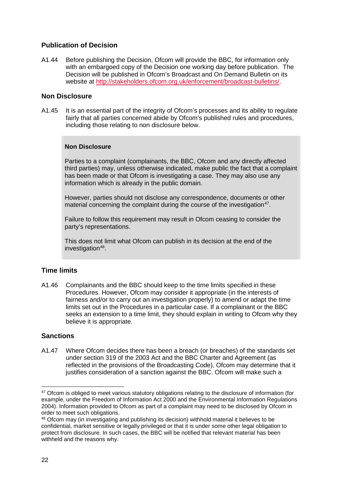## **Publication of Decision**

A1.44 Before publishing the Decision, Ofcom will provide the BBC, for information only with an embargoed copy of the Decision one working day before publication. The Decision will be published in Ofcom's Broadcast and On Demand Bulletin on its website at [http://stakeholders.ofcom.org.uk/enforcement/broadcast-bulletins/.](http://stakeholders.ofcom.org.uk/enforcement/broadcast-bulletins/)

## **Non Disclosure**

A1.45 It is an essential part of the integrity of Ofcom's processes and its ability to regulate fairly that all parties concerned abide by Ofcom's published rules and procedures, including those relating to non disclosure below.

## **Non Disclosure**

Parties to a complaint (complainants, the BBC, Ofcom and any directly affected third parties) may, unless otherwise indicated, make public the fact that a complaint has been made or that Ofcom is investigating a case. They may also use any information which is already in the public domain.

However, parties should not disclose any correspondence, documents or other material concerning the complaint during the course of the investigation<sup>[47](#page-24-0)</sup>.

Failure to follow this requirement may result in Ofcom ceasing to consider the party's representations.

This does not limit what Ofcom can publish in its decision at the end of the investigation<sup>48</sup>.

## **Time limits**

A1.46 Complainants and the BBC should keep to the time limits specified in these Procedures. However, Ofcom may consider it appropriate (in the interests of fairness and/or to carry out an investigation properly) to amend or adapt the time limits set out in the Procedures in a particular case. If a complainant or the BBC seeks an extension to a time limit, they should explain in writing to Ofcom why they believe it is appropriate.

## **Sanctions**

A1.47 Where Ofcom decides there has been a breach (or breaches) of the standards set under section 319 of the 2003 Act and the BBC Charter and Agreement (as reflected in the provisions of the Broadcasting Code), Ofcom may determine that it justifies consideration of a sanction against the BBC. Ofcom will make such a

<span id="page-24-0"></span><sup>&</sup>lt;sup>47</sup> Ofcom is obliged to meet various statutory obligations relating to the disclosure of information (for example, under the Freedom of Information Act 2000 and the Environmental Information Regulations 2004). Information provided to Ofcom as part of a complaint may need to be disclosed by Ofcom in order to meet such obligations.

<span id="page-24-1"></span><sup>48</sup> Ofcom may (in investigating and publishing its decision) withhold material it believes to be confidential, market sensitive or legally privileged or that it is under some other legal obligation to protect from disclosure. In such cases, the BBC will be notified that relevant material has been withheld and the reasons why.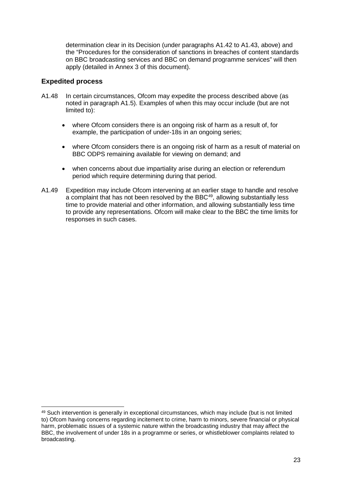determination clear in its Decision (under paragraphs A1.42 to A1.43, above) and the "Procedures for the consideration of sanctions in breaches of content standards on BBC broadcasting services and BBC on demand programme services" will then apply (detailed in Annex 3 of this document).

## **Expedited process**

- A1.48 In certain circumstances, Ofcom may expedite the process described above (as noted in paragraph A1.5). Examples of when this may occur include (but are not limited to):
	- where Ofcom considers there is an ongoing risk of harm as a result of, for example, the participation of under-18s in an ongoing series;
	- where Ofcom considers there is an ongoing risk of harm as a result of material on BBC ODPS remaining available for viewing on demand; and
	- when concerns about due impartiality arise during an election or referendum period which require determining during that period.
- A1.49 Expedition may include Ofcom intervening at an earlier stage to handle and resolve a complaint that has not been resolved by the BBC<sup>[49](#page-25-0)</sup>, allowing substantially less time to provide material and other information, and allowing substantially less time to provide any representations. Ofcom will make clear to the BBC the time limits for responses in such cases.

<span id="page-25-0"></span> <sup>49</sup> Such intervention is generally in exceptional circumstances, which may include (but is not limited to) Ofcom having concerns regarding incitement to crime, harm to minors, severe financial or physical harm, problematic issues of a systemic nature within the broadcasting industry that may affect the BBC, the involvement of under 18s in a programme or series, or whistleblower complaints related to broadcasting.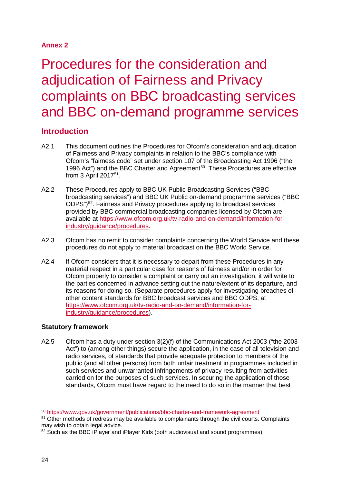## **Annex 2**

# <span id="page-26-0"></span>Procedures for the consideration and adjudication of Fairness and Privacy complaints on BBC broadcasting services and BBC on-demand programme services

# **Introduction**

- A2.1 This document outlines the Procedures for Ofcom's consideration and adjudication of Fairness and Privacy complaints in relation to the BBC's compliance with Ofcom's "fairness code" set under section 107 of the Broadcasting Act 1996 ("the 1996 Act") and the BBC Charter and Agreement<sup>[50](#page-26-1)</sup>. These Procedures are effective from 3 April 2017[51](#page-26-2)*.*
- A2.2 These Procedures apply to BBC UK Public Broadcasting Services ("BBC broadcasting services") and BBC UK Public on-demand programme services ("BBC ODPS")<sup>[52](#page-26-3)</sup>. Fairness and Privacy procedures applying to broadcast services provided by BBC commercial broadcasting companies licensed by Ofcom are available at [https://www.ofcom.org.uk/tv-radio-and-on-demand/information-for](https://www.ofcom.org.uk/tv-radio-and-on-demand/information-for-industry/guidance/procedures)[industry/guidance/procedures.](https://www.ofcom.org.uk/tv-radio-and-on-demand/information-for-industry/guidance/procedures)
- A2.3 Ofcom has no remit to consider complaints concerning the World Service and these procedures do not apply to material broadcast on the BBC World Service.
- A2.4 If Ofcom considers that it is necessary to depart from these Procedures in any material respect in a particular case for reasons of fairness and/or in order for Ofcom properly to consider a complaint or carry out an investigation, it will write to the parties concerned in advance setting out the nature/extent of its departure, and its reasons for doing so. (Separate procedures apply for investigating breaches of other content standards for BBC broadcast services and BBC ODPS, at [https://www.ofcom.org.uk/tv-radio-and-on-demand/information-for](https://www.ofcom.org.uk/tv-radio-and-on-demand/information-for-industry/guidance/procedures)[industry/guidance/procedures\)](https://www.ofcom.org.uk/tv-radio-and-on-demand/information-for-industry/guidance/procedures).

## **Statutory framework**

A2.5 Ofcom has a duty under section 3(2)(f) of the Communications Act 2003 ("the 2003 Act") to (among other things) secure the application, in the case of all television and radio services, of standards that provide adequate protection to members of the public (and all other persons) from both unfair treatment in programmes included in such services and unwarranted infringements of privacy resulting from activities carried on for the purposes of such services. In securing the application of those standards, Ofcom must have regard to the need to do so in the manner that best

<span id="page-26-1"></span> <sup>50</sup> <https://www.gov.uk/government/publications/bbc-charter-and-framework-agreement>

<span id="page-26-2"></span><sup>&</sup>lt;sup>51</sup> Other methods of redress may be available to complainants through the civil courts. Complaints may wish to obtain legal advice.

<span id="page-26-3"></span><sup>52</sup> Such as the BBC iPlayer and iPlayer Kids (both audiovisual and sound programmes).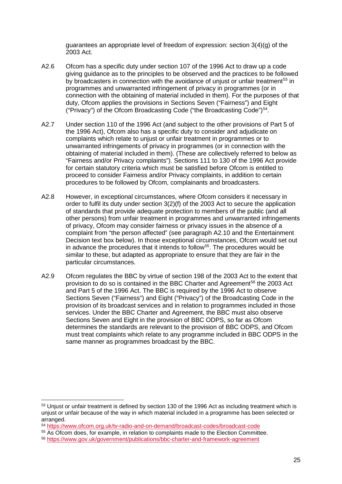guarantees an appropriate level of freedom of expression: section 3(4)(g) of the 2003 Act.

- A2.6 Ofcom has a specific duty under section 107 of the 1996 Act to draw up a code giving guidance as to the principles to be observed and the practices to be followed by broadcasters in connection with the avoidance of unjust or unfair treatment<sup>[53](#page-27-0)</sup> in programmes and unwarranted infringement of privacy in programmes (or in connection with the obtaining of material included in them). For the purposes of that duty, Ofcom applies the provisions in Sections Seven ("Fairness") and Eight ("Privacy") of the Ofcom Broadcasting Code ("the Broadcasting Code")[54.](#page-27-1)
- A2.7 Under section 110 of the 1996 Act (and subject to the other provisions of Part 5 of the 1996 Act), Ofcom also has a specific duty to consider and adjudicate on complaints which relate to unjust or unfair treatment in programmes or to unwarranted infringements of privacy in programmes (or in connection with the obtaining of material included in them). (These are collectively referred to below as "Fairness and/or Privacy complaints"). Sections 111 to 130 of the 1996 Act provide for certain statutory criteria which must be satisfied before Ofcom is entitled to proceed to consider Fairness and/or Privacy complaints, in addition to certain procedures to be followed by Ofcom, complainants and broadcasters.
- A2.8 However, in exceptional circumstances, where Ofcom considers it necessary in order to fulfil its duty under section 3(2)(f) of the 2003 Act to secure the application of standards that provide adequate protection to members of the public (and all other persons) from unfair treatment in programmes and unwarranted infringements of privacy, Ofcom may consider fairness or privacy issues in the absence of a complaint from "the person affected" (see paragraph A2.10 and the Entertainment Decision text box below). In those exceptional circumstances, Ofcom would set out in advance the procedures that it intends to follow<sup>[55](#page-27-2)</sup>. The procedures would be similar to these, but adapted as appropriate to ensure that they are fair in the particular circumstances.
- A2.9 Ofcom regulates the BBC by virtue of section 198 of the 2003 Act to the extent that provision to do so is contained in the BBC Charter and Agreement<sup>[56](#page-27-3)</sup> the 2003 Act and Part 5 of the 1996 Act. The BBC is required by the 1996 Act to observe Sections Seven ("Fairness") and Eight ("Privacy") of the Broadcasting Code in the provision of its broadcast services and in relation to programmes included in those services. Under the BBC Charter and Agreement, the BBC must also observe Sections Seven and Eight in the provision of BBC ODPS, so far as Ofcom determines the standards are relevant to the provision of BBC ODPS, and Ofcom must treat complaints which relate to any programme included in BBC ODPS in the same manner as programmes broadcast by the BBC.

<span id="page-27-0"></span><sup>&</sup>lt;sup>53</sup> Uniust or unfair treatment is defined by section 130 of the 1996 Act as including treatment which is unjust or unfair because of the way in which material included in a programme has been selected or arranged.

<span id="page-27-1"></span><sup>54</sup> <https://www.ofcom.org.uk/tv-radio-and-on-demand/broadcast-codes/broadcast-code>

<span id="page-27-2"></span><sup>55</sup> As Ofcom does, for example, in relation to complaints made to the Election Committee.

<span id="page-27-3"></span><sup>56</sup> <https://www.gov.uk/government/publications/bbc-charter-and-framework-agreement>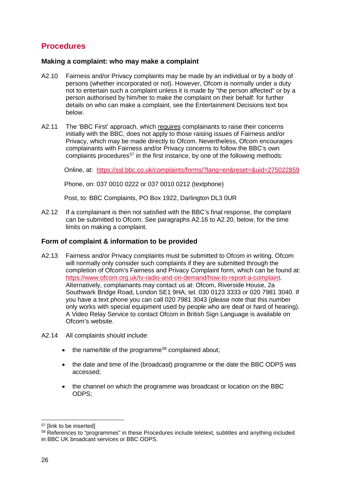# **Procedures**

## **Making a complaint: who may make a complaint**

- A2.10 Fairness and/or Privacy complaints may be made by an individual or by a body of persons (whether incorporated or not). However, Ofcom is normally under a duty not to entertain such a complaint unless it is made by "the person affected" or by a person authorised by him/her to make the complaint on their behalf: for further details on who can make a complaint, see the Entertainment Decisions text box below.
- A2.11 The 'BBC First' approach, which requires complainants to raise their concerns initially with the BBC, does not apply to those raising issues of Fairness and/or Privacy, which may be made directly to Ofcom. Nevertheless, Ofcom encourages complainants with Fairness and/or Privacy concerns to follow the BBC's own complaints procedures<sup>[57](#page-28-0)</sup> in the first instance, by one of the following methods:

Online, at: <https://ssl.bbc.co.uk/complaints/forms/?lang=en&reset=&uid=275022859>

Phone, on: 037 0010 0222 or 037 0010 0212 (textphone)

Post, to: BBC Complaints, PO Box 1922, Darlington DL3 0UR

A2.12 If a complainant is then not satisfied with the BBC's final response, the complaint can be submitted to Ofcom. See paragraphs A2.16 to A2.20, below, for the time limits on making a complaint.

## **Form of complaint & information to be provided**

- A2.13 Fairness and/or Privacy complaints must be submitted to Ofcom in writing. Ofcom will normally only consider such complaints if they are submitted through the completion of Ofcom's Fairness and Privacy Complaint form, which can be found at: <https://www.ofcom.org.uk/tv-radio-and-on-demand/how-to-report-a-complaint>*.*  Alternatively, complainants may contact us at: Ofcom, Riverside House, 2a Southwark Bridge Road, London SE1 9HA; tel. 030 0123 3333 or 020 7981 3040. If you have a text phone you can call 020 7981 3043 (please note that this number only works with special equipment used by people who are deaf or hard of hearing). A Video Relay Service to contact Ofcom in British Sign Language is available on Ofcom's website.
- A2.14 All complaints should include:
	- $\bullet$  the name/title of the programme<sup>58</sup> complained about:
	- the date and time of the (broadcast) programme or the date the BBC ODPS was accessed;
	- the channel on which the programme was broadcast or location on the BBC ODPS;

<span id="page-28-0"></span> <sup>57</sup> [link to be inserted]

<span id="page-28-1"></span><sup>58</sup> References to "programmes" in these Procedures include teletext, subtitles and anything included in BBC UK broadcast services or BBC ODPS.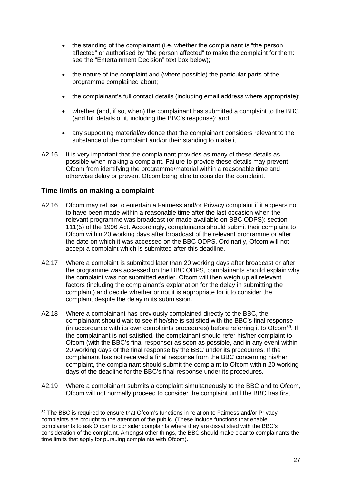- the standing of the complainant (i.e. whether the complainant is "the person affected" or authorised by "the person affected" to make the complaint for them: see the "Entertainment Decision" text box below);
- the nature of the complaint and (where possible) the particular parts of the programme complained about;
- the complainant's full contact details (including email address where appropriate);
- whether (and, if so, when) the complainant has submitted a complaint to the BBC (and full details of it, including the BBC's response); and
- any supporting material/evidence that the complainant considers relevant to the substance of the complaint and/or their standing to make it.
- A2.15 It is very important that the complainant provides as many of these details as possible when making a complaint. Failure to provide these details may prevent Ofcom from identifying the programme/material within a reasonable time and otherwise delay or prevent Ofcom being able to consider the complaint.

## **Time limits on making a complaint**

- A2.16 Ofcom may refuse to entertain a Fairness and/or Privacy complaint if it appears not to have been made within a reasonable time after the last occasion when the relevant programme was broadcast (or made available on BBC ODPS): section 111(5) of the 1996 Act. Accordingly, complainants should submit their complaint to Ofcom within 20 working days after broadcast of the relevant programme or after the date on which it was accessed on the BBC ODPS. Ordinarily, Ofcom will not accept a complaint which is submitted after this deadline.
- A2.17 Where a complaint is submitted later than 20 working days after broadcast or after the programme was accessed on the BBC ODPS, complainants should explain why the complaint was not submitted earlier. Ofcom will then weigh up all relevant factors (including the complainant's explanation for the delay in submitting the complaint) and decide whether or not it is appropriate for it to consider the complaint despite the delay in its submission.
- A2.18 Where a complainant has previously complained directly to the BBC, the complainant should wait to see if he/she is satisfied with the BBC's final response (in accordance with its own complaints procedures) before referring it to Ofcom[59.](#page-29-0) If the complainant is not satisfied, the complainant should refer his/her complaint to Ofcom (with the BBC's final response) as soon as possible, and in any event within 20 working days of the final response by the BBC under its procedures. If the complainant has not received a final response from the BBC concerning his/her complaint, the complainant should submit the complaint to Ofcom within 20 working days of the deadline for the BBC's final response under its procedures.
- A2.19 Where a complainant submits a complaint simultaneously to the BBC and to Ofcom, Ofcom will not normally proceed to consider the complaint until the BBC has first

<span id="page-29-0"></span><sup>&</sup>lt;sup>59</sup> The BBC is required to ensure that Ofcom's functions in relation to Fairness and/or Privacy complaints are brought to the attention of the public. (These include functions that enable complainants to ask Ofcom to consider complaints where they are dissatisfied with the BBC's consideration of the complaint. Amongst other things, the BBC should make clear to complainants the time limits that apply for pursuing complaints with Ofcom).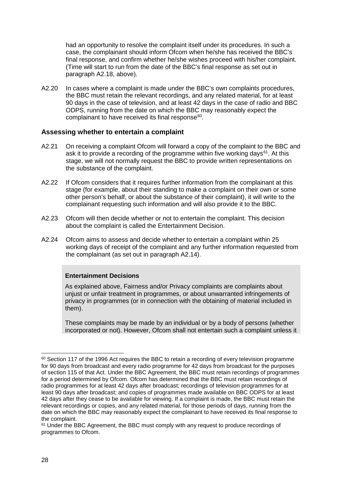had an opportunity to resolve the complaint itself under its procedures. In such a case, the complainant should inform Ofcom when he/she has received the BBC's final response, and confirm whether he/she wishes proceed with his/her complaint. (Time will start to run from the date of the BBC's final response as set out in paragraph A2.18, above).

A2.20 In cases where a complaint is made under the BBC's own complaints procedures, the BBC must retain the relevant recordings, and any related material, for at least 90 days in the case of television, and at least 42 days in the case of radio and BBC ODPS, running from the date on which the BBC may reasonably expect the complainant to have received its final response<sup>[60](#page-30-0)</sup>.

### **Assessing whether to entertain a complaint**

- A2.21 On receiving a complaint Ofcom will forward a copy of the complaint to the BBC and ask it to provide a recording of the programme within five working days $61$ . At this stage, we will not normally request the BBC to provide written representations on the substance of the complaint.
- A2.22 If Ofcom considers that it requires further information from the complainant at this stage (for example, about their standing to make a complaint on their own or some other person's behalf, or about the substance of their complaint), it will write to the complainant requesting such information and will also provide it to the BBC.
- A2.23 Ofcom will then decide whether or not to entertain the complaint. This decision about the complaint is called the Entertainment Decision.
- A2.24 Ofcom aims to assess and decide whether to entertain a complaint within 25 working days of receipt of the complaint and any further information requested from the complainant (as set out in paragraph A2.14).

#### **Entertainment Decisions**

As explained above, Fairness and/or Privacy complaints are complaints about unjust or unfair treatment in programmes, or about unwarranted infringements of privacy in programmes (or in connection with the obtaining of material included in them).

These complaints may be made by an individual or by a body of persons (whether incorporated or not). However, Ofcom shall not entertain such a complaint unless it

<span id="page-30-0"></span> $60$  Section 117 of the 1996 Act requires the BBC to retain a recording of every television programme for 90 days from broadcast and every radio programme for 42 days from broadcast for the purposes of section 115 of that Act. Under the BBC Agreement, the BBC must retain recordings of programmes for a period determined by Ofcom. Ofcom has determined that the BBC must retain recordings of radio programmes for at least 42 days after broadcast; recordings of television programmes for at least 90 days after broadcast; and copies of programmes made available on BBC ODPS for at least 42 days after they cease to be available for viewing. If a complaint is made, the BBC must retain the relevant recordings or copies, and any related material, for those periods of days, running from the date on which the BBC may reasonably expect the complainant to have received its final response to the complaint.

<span id="page-30-1"></span><sup>&</sup>lt;sup>61</sup> Under the BBC Agreement, the BBC must comply with any request to produce recordings of programmes to Ofcom.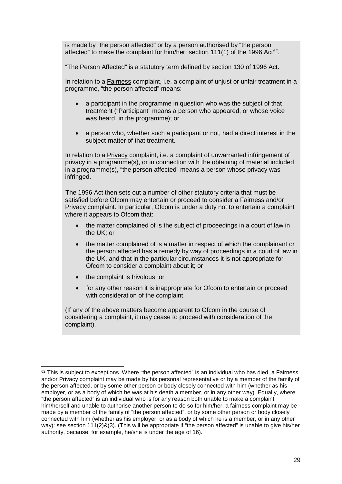is made by "the person affected" or by a person authorised by "the person affected" to make the complaint for him/her: section 111(1) of the 1996 Act<sup>62</sup>.

"The Person Affected" is a statutory term defined by section 130 of 1996 Act.

In relation to a Fairness complaint, i.e. a complaint of unjust or unfair treatment in a programme, "the person affected" means:

- a participant in the programme in question who was the subject of that treatment ("Participant" means a person who appeared, or whose voice was heard, in the programme); or
- a person who, whether such a participant or not, had a direct interest in the subject-matter of that treatment.

In relation to a Privacy complaint, i.e. a complaint of unwarranted infringement of privacy in a programme(s), or in connection with the obtaining of material included in a programme(s), "the person affected" means a person whose privacy was infringed.

The 1996 Act then sets out a number of other statutory criteria that must be satisfied before Ofcom may entertain or proceed to consider a Fairness and/or Privacy complaint. In particular, Ofcom is under a duty not to entertain a complaint where it appears to Ofcom that:

- the matter complained of is the subject of proceedings in a court of law in the UK; or
- the matter complained of is a matter in respect of which the complainant or the person affected has a remedy by way of proceedings in a court of law in the UK, and that in the particular circumstances it is not appropriate for Ofcom to consider a complaint about it; or
- the complaint is frivolous; or
- for any other reason it is inappropriate for Ofcom to entertain or proceed with consideration of the complaint.

(If any of the above matters become apparent to Ofcom in the course of considering a complaint, it may cease to proceed with consideration of the complaint).

<span id="page-31-0"></span><sup>&</sup>lt;sup>62</sup> This is subject to exceptions. Where "the person affected" is an individual who has died, a Fairness and/or Privacy complaint may be made by his personal representative or by a member of the family of the person affected, or by some other person or body closely connected with him (whether as his employer, or as a body of which he was at his death a member, or in any other way). Equally, where "the person affected" is an individual who is for any reason both unable to make a complaint him/herself and unable to authorise another person to do so for him/her, a fairness complaint may be made by a member of the family of "the person affected", or by some other person or body closely connected with him (whether as his employer, or as a body of which he is a member, or in any other way): see section 111(2)&(3). (This will be appropriate if "the person affected" is unable to give his/her authority, because, for example, he/she is under the age of 16).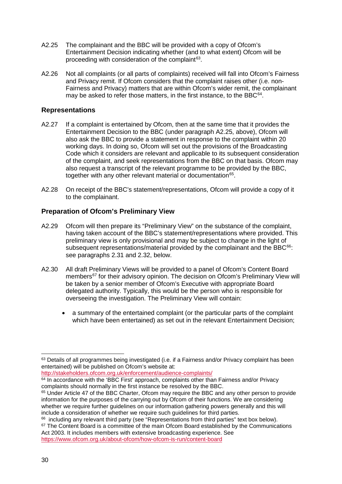- A2.25 The complainant and the BBC will be provided with a copy of Ofcom's Entertainment Decision indicating whether (and to what extent) Ofcom will be proceeding with consideration of the complaint<sup>[63](#page-32-0)</sup>.
- A2.26 Not all complaints (or all parts of complaints) received will fall into Ofcom's Fairness and Privacy remit. If Ofcom considers that the complaint raises other (i.e. non-Fairness and Privacy) matters that are within Ofcom's wider remit, the complainant may be asked to refer those matters, in the first instance, to the BBC $64$ .

## **Representations**

- A2.27 If a complaint is entertained by Ofcom, then at the same time that it provides the Entertainment Decision to the BBC (under paragraph A2.25, above), Ofcom will also ask the BBC to provide a statement in response to the complaint within 20 working days. In doing so, Ofcom will set out the provisions of the Broadcasting Code which it considers are relevant and applicable to its subsequent consideration of the complaint, and seek representations from the BBC on that basis. Ofcom may also request a transcript of the relevant programme to be provided by the BBC, together with any other relevant material or documentation<sup>[65](#page-32-2)</sup>.
- A2.28 On receipt of the BBC's statement/representations, Ofcom will provide a copy of it to the complainant.

## **Preparation of Ofcom's Preliminary View**

- A2.29 Ofcom will then prepare its "Preliminary View" on the substance of the complaint, having taken account of the BBC's statement/representations where provided. This preliminary view is only provisional and may be subject to change in the light of subsequent representations/material provided by the complainant and the BBC<sup>66</sup>: see paragraphs 2.31 and 2.32, below.
- A2.30 All draft Preliminary Views will be provided to a panel of Ofcom's Content Board members<sup>[67](#page-32-4)</sup> for their advisory opinion. The decision on Ofcom's Preliminary View will be taken by a senior member of Ofcom's Executive with appropriate Board delegated authority. Typically, this would be the person who is responsible for overseeing the investigation. The Preliminary View will contain:
	- a summary of the entertained complaint (or the particular parts of the complaint which have been entertained) as set out in the relevant Entertainment Decision;

<http://stakeholders.ofcom.org.uk/enforcement/audience-complaints/>

<span id="page-32-0"></span><sup>&</sup>lt;sup>63</sup> Details of all programmes being investigated (i.e. if a Fairness and/or Privacy complaint has been entertained) will be published on Ofcom's website at:

<span id="page-32-1"></span><sup>&</sup>lt;sup>64</sup> In accordance with the 'BBC First' approach, complaints other than Fairness and/or Privacy complaints should normally in the first instance be resolved by the BBC.

<span id="page-32-2"></span><sup>&</sup>lt;sup>65</sup> Under Article 47 of the BBC Charter, Ofcom may require the BBC and any other person to provide information for the purposes of the carrying out by Ofcom of their functions. We are considering whether we require further quidelines on our information gathering powers generally and this will include a consideration of whether we require such quidelines for third parties.

<span id="page-32-4"></span><span id="page-32-3"></span><sup>&</sup>lt;sup>66</sup> including any relevant third party (see "Representations from third parties" text box below).  $67$  The Content Board is a committee of the main Ofcom Board established by the Communications Act 2003. It includes members with extensive broadcasting experience. See <https://www.ofcom.org.uk/about-ofcom/how-ofcom-is-run/content-board>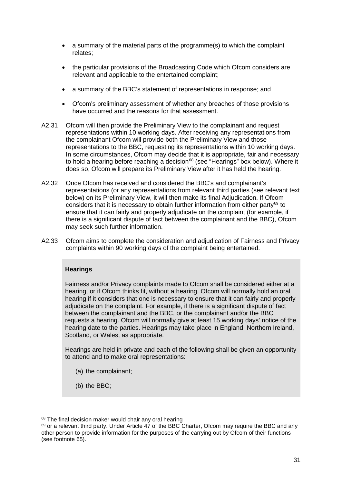- a summary of the material parts of the programme(s) to which the complaint relates;
- the particular provisions of the Broadcasting Code which Ofcom considers are relevant and applicable to the entertained complaint;
- a summary of the BBC's statement of representations in response; and
- Ofcom's preliminary assessment of whether any breaches of those provisions have occurred and the reasons for that assessment.
- A2.31 Ofcom will then provide the Preliminary View to the complainant and request representations within 10 working days. After receiving any representations from the complainant Ofcom will provide both the Preliminary View and those representations to the BBC, requesting its representations within 10 working days. In some circumstances, Ofcom may decide that it is appropriate, fair and necessary to hold a hearing before reaching a decision $68$  (see "Hearings" box below). Where it does so, Ofcom will prepare its Preliminary View after it has held the hearing.
- A2.32 Once Ofcom has received and considered the BBC's and complainant's representations (or any representations from relevant third parties (see relevant text below) on its Preliminary View, it will then make its final Adjudication. If Ofcom considers that it is necessary to obtain further information from either party<sup>[69](#page-33-1)</sup> to ensure that it can fairly and properly adjudicate on the complaint (for example, if there is a significant dispute of fact between the complainant and the BBC), Ofcom may seek such further information.
- A2.33 Ofcom aims to complete the consideration and adjudication of Fairness and Privacy complaints within 90 working days of the complaint being entertained.

### **Hearings**

Fairness and/or Privacy complaints made to Ofcom shall be considered either at a hearing, or if Ofcom thinks fit, without a hearing. Ofcom will normally hold an oral hearing if it considers that one is necessary to ensure that it can fairly and properly adjudicate on the complaint. For example, if there is a significant dispute of fact between the complainant and the BBC, or the complainant and/or the BBC requests a hearing. Ofcom will normally give at least 15 working days' notice of the hearing date to the parties. Hearings may take place in England, Northern Ireland, Scotland, or Wales, as appropriate.

Hearings are held in private and each of the following shall be given an opportunity to attend and to make oral representations:

- (a) the complainant;
- (b) the BBC;

<span id="page-33-0"></span> <sup>68</sup> The final decision maker would chair any oral hearing

<span id="page-33-1"></span> $69$  or a relevant third party. Under Article 47 of the BBC Charter, Ofcom may require the BBC and any other person to provide information for the purposes of the carrying out by Ofcom of their functions (see footnote 65).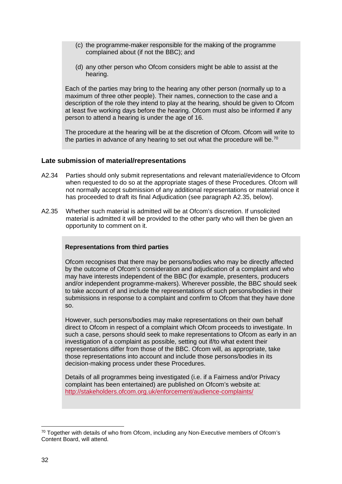- (c) the programme-maker responsible for the making of the programme complained about (if not the BBC); and
- (d) any other person who Ofcom considers might be able to assist at the hearing.

Each of the parties may bring to the hearing any other person (normally up to a maximum of three other people). Their names, connection to the case and a description of the role they intend to play at the hearing, should be given to Ofcom at least five working days before the hearing. Ofcom must also be informed if any person to attend a hearing is under the age of 16.

The procedure at the hearing will be at the discretion of Ofcom. Ofcom will write to the parties in advance of any hearing to set out what the procedure will be.<sup>[70](#page-34-0)</sup>

## **Late submission of material/representations**

- A2.34 Parties should only submit representations and relevant material/evidence to Ofcom when requested to do so at the appropriate stages of these Procedures. Ofcom will not normally accept submission of any additional representations or material once it has proceeded to draft its final Adjudication (see paragraph A2.35, below).
- A2.35 Whether such material is admitted will be at Ofcom's discretion. If unsolicited material is admitted it will be provided to the other party who will then be given an opportunity to comment on it.

### **Representations from third parties**

Ofcom recognises that there may be persons/bodies who may be directly affected by the outcome of Ofcom's consideration and adjudication of a complaint and who may have interests independent of the BBC (for example, presenters, producers and/or independent programme-makers). Wherever possible, the BBC should seek to take account of and include the representations of such persons/bodies in their submissions in response to a complaint and confirm to Ofcom that they have done so.

However, such persons/bodies may make representations on their own behalf direct to Ofcom in respect of a complaint which Ofcom proceeds to investigate. In such a case, persons should seek to make representations to Ofcom as early in an investigation of a complaint as possible, setting out if/to what extent their representations differ from those of the BBC. Ofcom will, as appropriate, take those representations into account and include those persons/bodies in its decision-making process under these Procedures.

Details of all programmes being investigated (i.e. if a Fairness and/or Privacy complaint has been entertained) are published on Ofcom's website at: <http://stakeholders.ofcom.org.uk/enforcement/audience-complaints/>

<span id="page-34-0"></span> <sup>70</sup> Together with details of who from Ofcom, including any Non-Executive members of Ofcom's Content Board, will attend.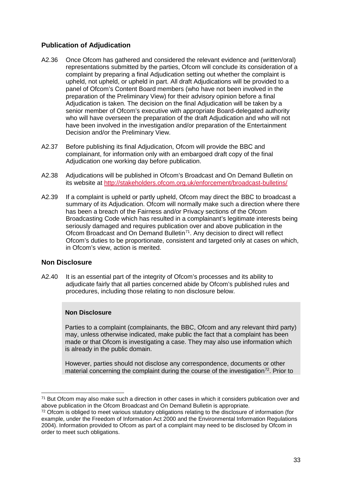## **Publication of Adjudication**

- A2.36 Once Ofcom has gathered and considered the relevant evidence and (written/oral) representations submitted by the parties, Ofcom will conclude its consideration of a complaint by preparing a final Adjudication setting out whether the complaint is upheld, not upheld, or upheld in part. All draft Adjudications will be provided to a panel of Ofcom's Content Board members (who have not been involved in the preparation of the Preliminary View) for their advisory opinion before a final Adjudication is taken. The decision on the final Adjudication will be taken by a senior member of Ofcom's executive with appropriate Board-delegated authority who will have overseen the preparation of the draft Adjudication and who will not have been involved in the investigation and/or preparation of the Entertainment Decision and/or the Preliminary View.
- A2.37 Before publishing its final Adjudication, Ofcom will provide the BBC and complainant, for information only with an embargoed draft copy of the final Adjudication one working day before publication.
- A2.38 Adjudications will be published in Ofcom's Broadcast and On Demand Bulletin on its website at<http://stakeholders.ofcom.org.uk/enforcement/broadcast-bulletins/>
- A2.39 If a complaint is upheld or partly upheld, Ofcom may direct the BBC to broadcast a summary of its Adjudication. Ofcom will normally make such a direction where there has been a breach of the Fairness and/or Privacy sections of the Ofcom Broadcasting Code which has resulted in a complainant's legitimate interests being seriously damaged and requires publication over and above publication in the Ofcom Broadcast and On Demand Bulletin $<sup>71</sup>$ . Any decision to direct will reflect</sup> Ofcom's duties to be proportionate, consistent and targeted only at cases on which, in Ofcom's view, action is merited.

## **Non Disclosure**

A2.40 It is an essential part of the integrity of Ofcom's processes and its ability to adjudicate fairly that all parties concerned abide by Ofcom's published rules and procedures, including those relating to non disclosure below.

### **Non Disclosure**

Parties to a complaint (complainants, the BBC, Ofcom and any relevant third party) may, unless otherwise indicated, make public the fact that a complaint has been made or that Ofcom is investigating a case. They may also use information which is already in the public domain.

However, parties should not disclose any correspondence, documents or other material concerning the complaint during the course of the investigation<sup>72</sup>. Prior to

<span id="page-35-0"></span> <sup>71</sup> But Ofcom may also make such a direction in other cases in which it considers publication over and above publication in the Ofcom Broadcast and On Demand Bulletin is appropriate.

<span id="page-35-1"></span><sup>72</sup> Ofcom is obliged to meet various statutory obligations relating to the disclosure of information (for example, under the Freedom of Information Act 2000 and the Environmental Information Regulations 2004). Information provided to Ofcom as part of a complaint may need to be disclosed by Ofcom in order to meet such obligations.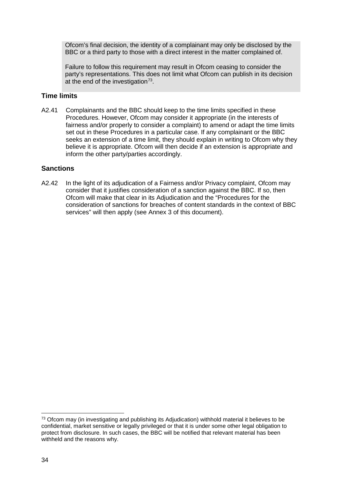Ofcom's final decision, the identity of a complainant may only be disclosed by the BBC or a third party to those with a direct interest in the matter complained of.

Failure to follow this requirement may result in Ofcom ceasing to consider the party's representations. This does not limit what Ofcom can publish in its decision at the end of the investigation $73$ .

## **Time limits**

A2.41 Complainants and the BBC should keep to the time limits specified in these Procedures. However, Ofcom may consider it appropriate (in the interests of fairness and/or properly to consider a complaint) to amend or adapt the time limits set out in these Procedures in a particular case. If any complainant or the BBC seeks an extension of a time limit, they should explain in writing to Ofcom why they believe it is appropriate. Ofcom will then decide if an extension is appropriate and inform the other party/parties accordingly.

## **Sanctions**

A2.42 In the light of its adjudication of a Fairness and/or Privacy complaint, Ofcom may consider that it justifies consideration of a sanction against the BBC. If so, then Ofcom will make that clear in its Adjudication and the "Procedures for the consideration of sanctions for breaches of content standards in the context of BBC services" will then apply (see Annex 3 of this document).

<span id="page-36-0"></span> $73$  Ofcom may (in investigating and publishing its Adjudication) withhold material it believes to be confidential, market sensitive or legally privileged or that it is under some other legal obligation to protect from disclosure. In such cases, the BBC will be notified that relevant material has been withheld and the reasons why.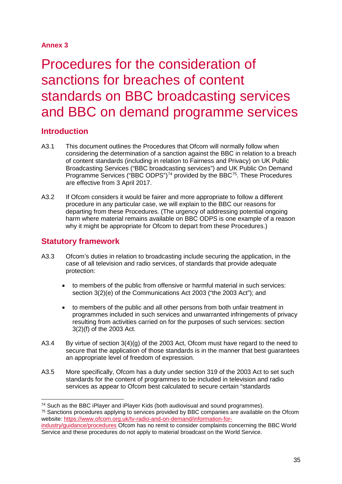## **Annex 3**

# <span id="page-37-0"></span>Procedures for the consideration of sanctions for breaches of content standards on BBC broadcasting services and BBC on demand programme services

## **Introduction**

- A3.1 This document outlines the Procedures that Ofcom will normally follow when considering the determination of a sanction against the BBC in relation to a breach of content standards (including in relation to Fairness and Privacy) on UK Public Broadcasting Services ("BBC broadcasting services") and UK Public On Demand Programme Services ("BBC ODPS")<sup>74</sup> provided by the BBC $^{75}$  $^{75}$  $^{75}$ . These Procedures are effective from 3 April 2017.
- A3.2 If Ofcom considers it would be fairer and more appropriate to follow a different procedure in any particular case, we will explain to the BBC our reasons for departing from these Procedures. (The urgency of addressing potential ongoing harm where material remains available on BBC ODPS is one example of a reason why it might be appropriate for Ofcom to depart from these Procedures.)

# **Statutory framework**

- A3.3 Ofcom's duties in relation to broadcasting include securing the application, in the case of all television and radio services, of standards that provide adequate protection:
	- to members of the public from offensive or harmful material in such services: section 3(2)(e) of the Communications Act 2003 ("the 2003 Act"); and
	- to members of the public and all other persons from both unfair treatment in programmes included in such services and unwarranted infringements of privacy resulting from activities carried on for the purposes of such services: section 3(2)(f) of the 2003 Act.
- A3.4 By virtue of section 3(4)(g) of the 2003 Act, Ofcom must have regard to the need to secure that the application of those standards is in the manner that best guarantees an appropriate level of freedom of expression.
- A3.5 More specifically, Ofcom has a duty under section 319 of the 2003 Act to set such standards for the content of programmes to be included in television and radio services as appear to Ofcom best calculated to secure certain "standards

<span id="page-37-2"></span><span id="page-37-1"></span> <sup>74</sup> Such as the BBC iPlayer and iPlayer Kids (both audiovisual and sound programmes). <sup>75</sup> Sanctions procedures applying to services provided by BBC companies are available on the Ofcom website: [https://www.ofcom.org.uk/tv-radio-and-on-demand/information-for-](https://www.ofcom.org.uk/tv-radio-and-on-demand/information-for-industry/guidance/procedures)

[industry/guidance/procedures](https://www.ofcom.org.uk/tv-radio-and-on-demand/information-for-industry/guidance/procedures) Ofcom has no remit to consider complaints concerning the BBC World Service and these procedures do not apply to material broadcast on the World Service.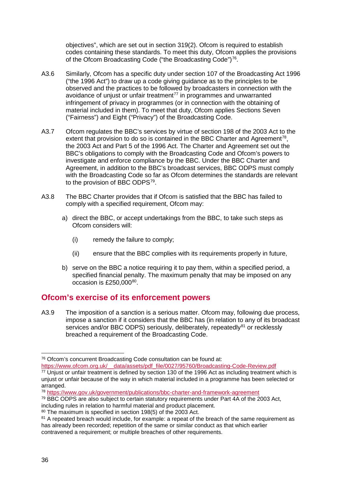objectives", which are set out in section 319(2). Ofcom is required to establish codes containing these standards. To meet this duty, Ofcom applies the provisions of the Ofcom Broadcasting Code ("the Broadcasting Code")<sup>76</sup>.

- A3.6 Similarly, Ofcom has a specific duty under section 107 of the Broadcasting Act 1996 ("the 1996 Act") to draw up a code giving guidance as to the principles to be observed and the practices to be followed by broadcasters in connection with the avoidance of unjust or unfair treatment $77$  in programmes and unwarranted infringement of privacy in programmes (or in connection with the obtaining of material included in them). To meet that duty, Ofcom applies Sections Seven ("Fairness") and Eight ("Privacy") of the Broadcasting Code.
- A3.7 Ofcom regulates the BBC's services by virtue of section 198 of the 2003 Act to the extent that provision to do so is contained in the BBC Charter and Agreement<sup>78</sup>, the 2003 Act and Part 5 of the 1996 Act. The Charter and Agreement set out the BBC's obligations to comply with the Broadcasting Code and Ofcom's powers to investigate and enforce compliance by the BBC. Under the BBC Charter and Agreement, in addition to the BBC's broadcast services, BBC ODPS must comply with the Broadcasting Code so far as Ofcom determines the standards are relevant to the provision of BBC ODPS<sup>79</sup>.
- A3.8 The BBC Charter provides that if Ofcom is satisfied that the BBC has failed to comply with a specified requirement, Ofcom may:
	- a) direct the BBC, or accept undertakings from the BBC, to take such steps as Ofcom considers will:
		- (i) remedy the failure to comply;
		- (ii) ensure that the BBC complies with its requirements properly in future,
	- b) serve on the BBC a notice requiring it to pay them, within a specified period, a specified financial penalty. The maximum penalty that may be imposed on any occasion is  $£250,000^{80}$ .

# **Ofcom's exercise of its enforcement powers**

A3.9 The imposition of a sanction is a serious matter. Ofcom may, following due process, impose a sanction if it considers that the BBC has (in relation to any of its broadcast services and/or BBC ODPS) seriously, deliberately, repeatedly<sup>[81](#page-38-5)</sup> or recklessly breached a requirement of the Broadcasting Code.

<span id="page-38-0"></span> <sup>76</sup> Ofcom's concurrent Broadcasting Code consultation can be found at:

[https://www.ofcom.org.uk/\\_\\_data/assets/pdf\\_file/0027/95760/Broadcasting-Code-Review.pdf](https://www.ofcom.org.uk/__data/assets/pdf_file/0027/95760/Broadcasting-Code-Review.pdf) <sup>77</sup> Unjust or unfair treatment is defined by section 130 of the 1996 Act as including treatment which is

<span id="page-38-1"></span>unjust or unfair because of the way in which material included in a programme has been selected or arranged.

<span id="page-38-2"></span><sup>78</sup> <https://www.gov.uk/government/publications/bbc-charter-and-framework-agreement>

<span id="page-38-3"></span><sup>79</sup> BBC ODPS are also subject to certain statutory requirements under Part 4A of the 2003 Act, including rules in relation to harmful material and product placement.

<span id="page-38-4"></span><sup>80</sup> The maximum is specified in section 198(5) of the 2003 Act.

<span id="page-38-5"></span><sup>&</sup>lt;sup>81</sup> A repeated breach would include, for example: a repeat of the breach of the same requirement as has already been recorded; repetition of the same or similar conduct as that which earlier contravened a requirement; or multiple breaches of other requirements.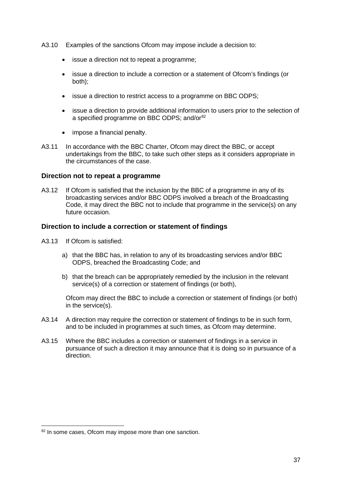- A3.10 Examples of the sanctions Ofcom may impose include a decision to:
	- issue a direction not to repeat a programme;
	- issue a direction to include a correction or a statement of Ofcom's findings (or both);
	- issue a direction to restrict access to a programme on BBC ODPS;
	- issue a direction to provide additional information to users prior to the selection of a specified programme on BBC ODPS; and/or<sup>[82](#page-39-0)</sup>
	- impose a financial penalty.
- A3.11 In accordance with the BBC Charter, Ofcom may direct the BBC, or accept undertakings from the BBC, to take such other steps as it considers appropriate in the circumstances of the case.

### **Direction not to repeat a programme**

A3.12 If Ofcom is satisfied that the inclusion by the BBC of a programme in any of its broadcasting services and/or BBC ODPS involved a breach of the Broadcasting Code, it may direct the BBC not to include that programme in the service(s) on any future occasion.

#### **Direction to include a correction or statement of findings**

- A3.13 If Ofcom is satisfied:
	- a) that the BBC has, in relation to any of its broadcasting services and/or BBC ODPS, breached the Broadcasting Code; and
	- b) that the breach can be appropriately remedied by the inclusion in the relevant service(s) of a correction or statement of findings (or both),

Ofcom may direct the BBC to include a correction or statement of findings (or both) in the service(s).

- A3.14 A direction may require the correction or statement of findings to be in such form, and to be included in programmes at such times, as Ofcom may determine.
- A3.15 Where the BBC includes a correction or statement of findings in a service in pursuance of such a direction it may announce that it is doing so in pursuance of a direction.

<span id="page-39-0"></span><sup>82</sup> In some cases, Ofcom may impose more than one sanction.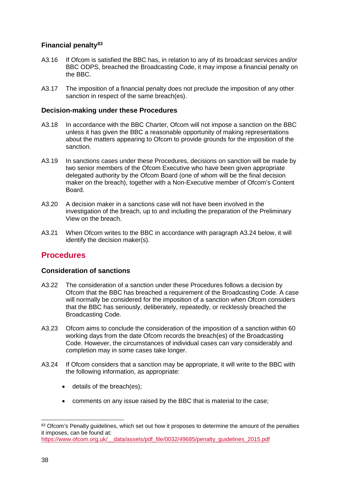## **Financial penalty[83](#page-40-0)**

- A3.16 If Ofcom is satisfied the BBC has, in relation to any of its broadcast services and/or BBC ODPS, breached the Broadcasting Code, it may impose a financial penalty on the BBC.
- A3.17 The imposition of a financial penalty does not preclude the imposition of any other sanction in respect of the same breach(es).

## **Decision-making under these Procedures**

- A3.18 In accordance with the BBC Charter, Ofcom will not impose a sanction on the BBC unless it has given the BBC a reasonable opportunity of making representations about the matters appearing to Ofcom to provide grounds for the imposition of the sanction.
- A3.19 In sanctions cases under these Procedures, decisions on sanction will be made by two senior members of the Ofcom Executive who have been given appropriate delegated authority by the Ofcom Board (one of whom will be the final decision maker on the breach), together with a Non-Executive member of Ofcom's Content Board.
- A3.20 A decision maker in a sanctions case will not have been involved in the investigation of the breach, up to and including the preparation of the Preliminary View on the breach.
- A3.21 When Ofcom writes to the BBC in accordance with paragraph A3.24 below, it will identify the decision maker(s).

## **Procedures**

### **Consideration of sanctions**

- A3.22 The consideration of a sanction under these Procedures follows a decision by Ofcom that the BBC has breached a requirement of the Broadcasting Code. A case will normally be considered for the imposition of a sanction when Ofcom considers that the BBC has seriously, deliberately, repeatedly, or recklessly breached the Broadcasting Code.
- A3.23 Ofcom aims to conclude the consideration of the imposition of a sanction within 60 working days from the date Ofcom records the breach(es) of the Broadcasting Code. However, the circumstances of individual cases can vary considerably and completion may in some cases take longer.
- A3.24 If Ofcom considers that a sanction may be appropriate, it will write to the BBC with the following information, as appropriate:
	- details of the breach(es);
	- comments on any issue raised by the BBC that is material to the case;

<span id="page-40-0"></span><sup>83</sup> Ofcom's Penalty guidelines, which set out how it proposes to determine the amount of the penalties it imposes, can be found at: [https://www.ofcom.org.uk/\\_\\_data/assets/pdf\\_file/0032/49685/penalty\\_guidelines\\_2015.pdf](https://www.ofcom.org.uk/__data/assets/pdf_file/0032/49685/penalty_guidelines_2015.pdf)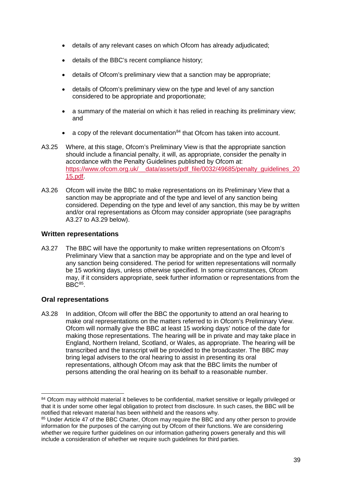- details of any relevant cases on which Ofcom has already adjudicated;
- details of the BBC's recent compliance history;
- details of Ofcom's preliminary view that a sanction may be appropriate;
- details of Ofcom's preliminary view on the type and level of any sanction considered to be appropriate and proportionate;
- a summary of the material on which it has relied in reaching its preliminary view; and
- a copy of the relevant documentation<sup>[84](#page-41-0)</sup> that Ofcom has taken into account.
- A3.25 Where, at this stage, Ofcom's Preliminary View is that the appropriate sanction should include a financial penalty, it will, as appropriate, consider the penalty in accordance with the Penalty Guidelines published by Ofcom at: https://www.ofcom.org.uk/\_\_data/assets/pdf\_file/0032/49685/penalty\_quidelines\_20 [15.pdf.](https://www.ofcom.org.uk/__data/assets/pdf_file/0032/49685/penalty_guidelines_2015.pdf)
- A3.26 Ofcom will invite the BBC to make representations on its Preliminary View that a sanction may be appropriate and of the type and level of any sanction being considered. Depending on the type and level of any sanction, this may be by written and/or oral representations as Ofcom may consider appropriate (see paragraphs A3.27 to A3.29 below).

## **Written representations**

A3.27 The BBC will have the opportunity to make written representations on Ofcom's Preliminary View that a sanction may be appropriate and on the type and level of any sanction being considered. The period for written representations will normally be 15 working days, unless otherwise specified. In some circumstances, Ofcom may, if it considers appropriate, seek further information or representations from the  $BBC<sup>85</sup>$  $BBC<sup>85</sup>$  $BBC<sup>85</sup>$ .

## **Oral representations**

A3.28 In addition, Ofcom will offer the BBC the opportunity to attend an oral hearing to make oral representations on the matters referred to in Ofcom's Preliminary View. Ofcom will normally give the BBC at least 15 working days' notice of the date for making those representations. The hearing will be in private and may take place in England, Northern Ireland, Scotland, or Wales, as appropriate. The hearing will be transcribed and the transcript will be provided to the broadcaster. The BBC may bring legal advisers to the oral hearing to assist in presenting its oral representations, although Ofcom may ask that the BBC limits the number of persons attending the oral hearing on its behalf to a reasonable number.

<span id="page-41-0"></span><sup>84</sup> Ofcom may withhold material it believes to be confidential, market sensitive or legally privileged or that it is under some other legal obligation to protect from disclosure. In such cases, the BBC will be notified that relevant material has been withheld and the reasons why.

<span id="page-41-1"></span><sup>&</sup>lt;sup>85</sup> Under Article 47 of the BBC Charter, Ofcom may require the BBC and any other person to provide information for the purposes of the carrying out by Ofcom of their functions. We are considering whether we require further quidelines on our information gathering powers generally and this will include a consideration of whether we require such guidelines for third parties.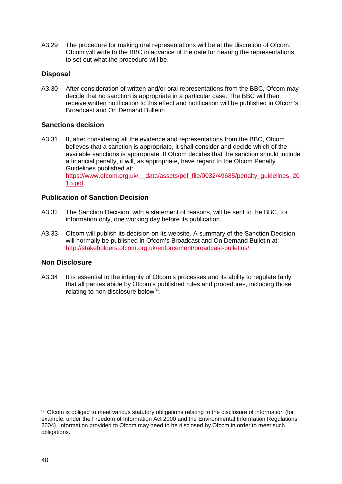A3.29 The procedure for making oral representations will be at the discretion of Ofcom. Ofcom will write to the BBC in advance of the date for hearing the representations, to set out what the procedure will be.

## **Disposal**

A3.30 After consideration of written and/or oral representations from the BBC, Ofcom may decide that no sanction is appropriate in a particular case. The BBC will then receive written notification to this effect and notification will be published in Ofcom's Broadcast and On Demand Bulletin.

## **Sanctions decision**

A3.31 If, after considering all the evidence and representations from the BBC, Ofcom believes that a sanction is appropriate, it shall consider and decide which of the available sanctions is appropriate. If Ofcom decides that the sanction should include a financial penalty, it will, as appropriate, have regard to the Ofcom Penalty Guidelines published at: https://www.ofcom.org.uk/\_\_data/assets/pdf\_file/0032/49685/penalty\_quidelines\_20 [15.pdf.](https://www.ofcom.org.uk/__data/assets/pdf_file/0032/49685/penalty_guidelines_2015.pdf)

## **Publication of Sanction Decision**

- A3.32 The Sanction Decision, with a statement of reasons, will be sent to the BBC, for information only, one working day before its publication.
- A3.33 Ofcom will publish its decision on its website. A summary of the Sanction Decision will normally be published in Ofcom's Broadcast and On Demand Bulletin at: [http://stakeholders.ofcom.org.uk/enforcement/broadcast-bulletins/.](http://stakeholders.ofcom.org.uk/enforcement/broadcast-bulletins/)

## **Non Disclosure**

A3.34 It is essential to the integrity of Ofcom's processes and its ability to regulate fairly that all parties abide by Ofcom's published rules and procedures, including those relating to non disclosure below<sup>86</sup>.

<span id="page-42-0"></span><sup>86</sup> Ofcom is obliged to meet various statutory obligations relating to the disclosure of information (for example, under the Freedom of Information Act 2000 and the Environmental Information Regulations 2004). Information provided to Ofcom may need to be disclosed by Ofcom in order to meet such obligations.